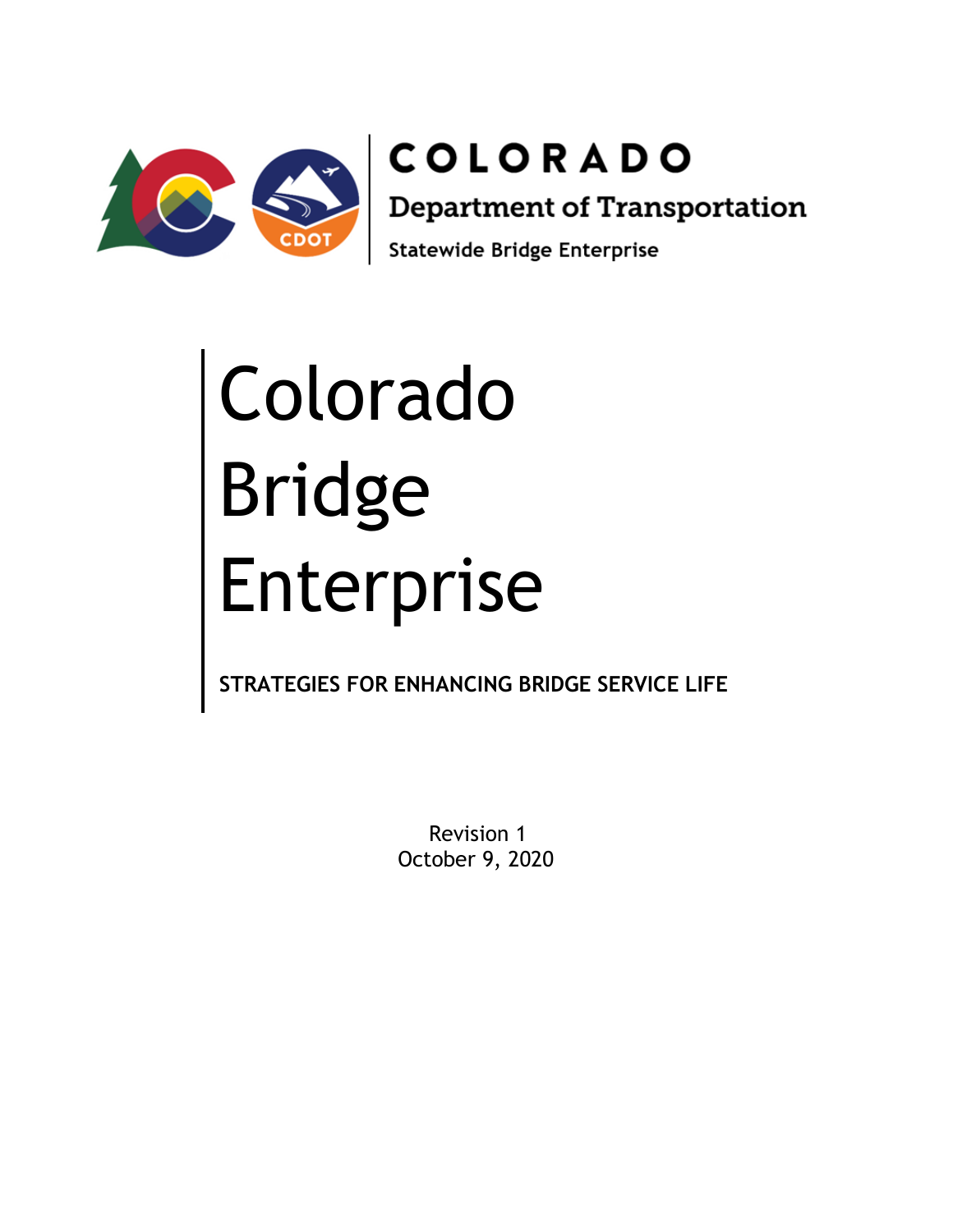

**COLORADO Department of Transportation** Statewide Bridge Enterprise

# Colorado Bridge Enterprise

**STRATEGIES FOR ENHANCING BRIDGE SERVICE LIFE**

Revision 1 October 9, 2020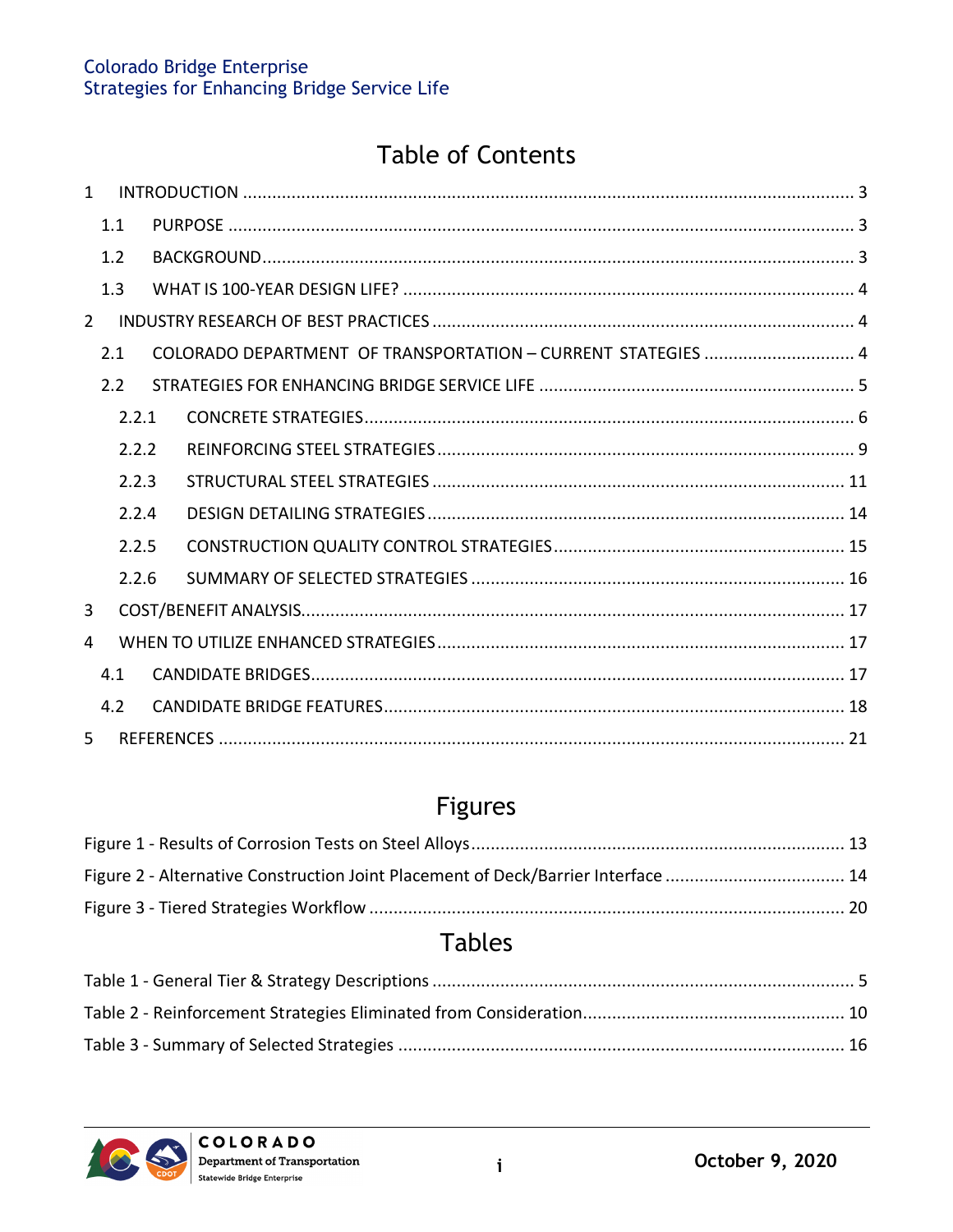# **Table of Contents**

| $\mathbf{1}$   |       |                                                              |  |
|----------------|-------|--------------------------------------------------------------|--|
|                | 1.1   |                                                              |  |
|                | 1.2   |                                                              |  |
|                | 1.3   |                                                              |  |
| $\overline{2}$ |       |                                                              |  |
|                | 2.1   | COLORADO DEPARTMENT OF TRANSPORTATION - CURRENT STATEGIES  4 |  |
|                | 2.2   |                                                              |  |
|                | 2.2.1 |                                                              |  |
|                | 2.2.2 |                                                              |  |
|                | 2.2.3 |                                                              |  |
|                | 2.2.4 |                                                              |  |
|                | 2.2.5 |                                                              |  |
|                | 2.2.6 |                                                              |  |
| 3              |       |                                                              |  |
| 4              |       |                                                              |  |
|                | 4.1   |                                                              |  |
|                | 4.2   |                                                              |  |
| 5              |       |                                                              |  |

# Figures

| Figure 2 - Alternative Construction Joint Placement of Deck/Barrier Interface  14 |  |
|-----------------------------------------------------------------------------------|--|
|                                                                                   |  |

# **Tables**

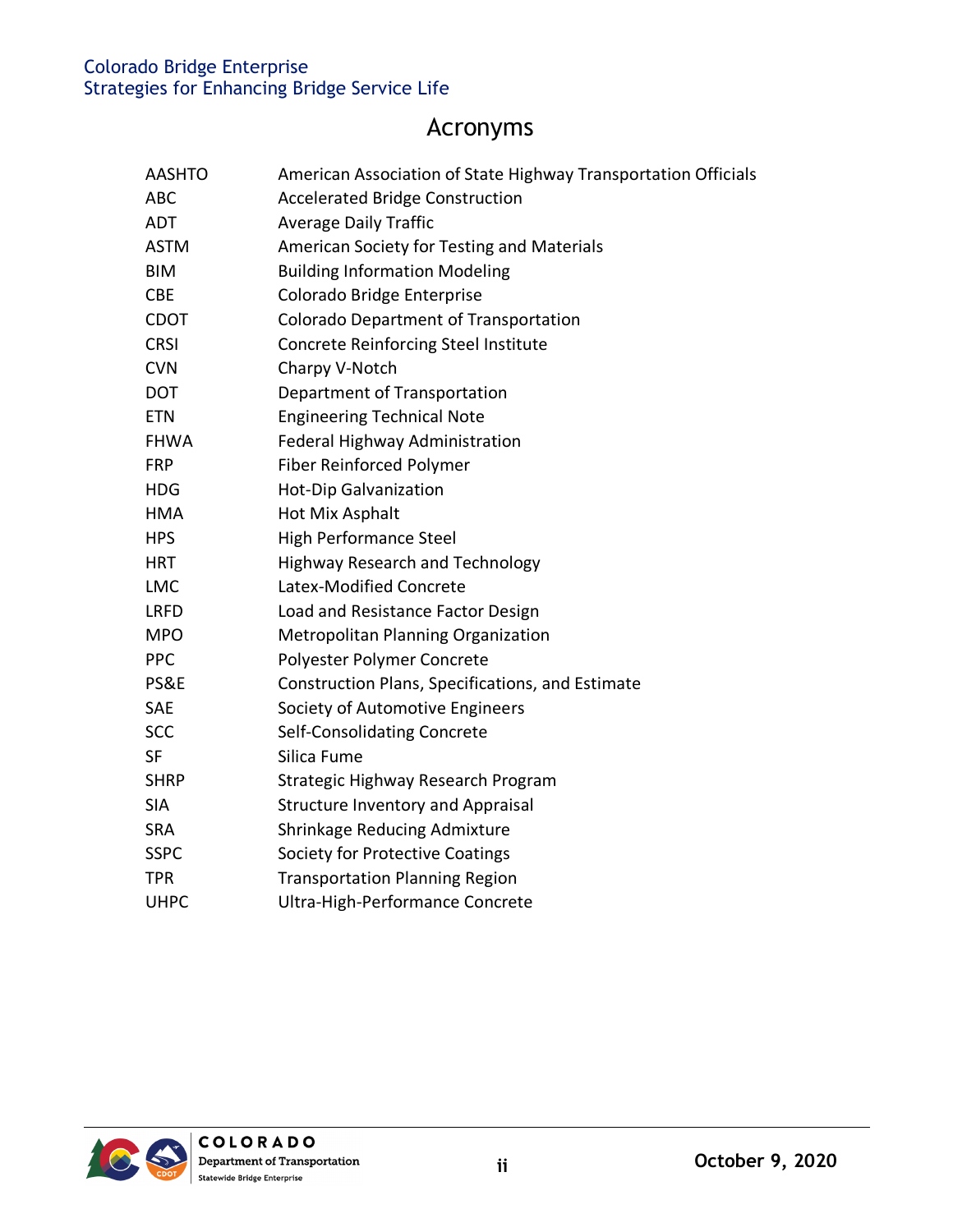# Acronyms

| <b>AASHTO</b> | American Association of State Highway Transportation Officials |
|---------------|----------------------------------------------------------------|
| <b>ABC</b>    | <b>Accelerated Bridge Construction</b>                         |
| <b>ADT</b>    | <b>Average Daily Traffic</b>                                   |
| <b>ASTM</b>   | American Society for Testing and Materials                     |
| <b>BIM</b>    | <b>Building Information Modeling</b>                           |
| <b>CBE</b>    | Colorado Bridge Enterprise                                     |
| <b>CDOT</b>   | Colorado Department of Transportation                          |
| <b>CRSI</b>   | Concrete Reinforcing Steel Institute                           |
| <b>CVN</b>    | Charpy V-Notch                                                 |
| <b>DOT</b>    | Department of Transportation                                   |
| <b>ETN</b>    | <b>Engineering Technical Note</b>                              |
| <b>FHWA</b>   | Federal Highway Administration                                 |
| <b>FRP</b>    | Fiber Reinforced Polymer                                       |
| <b>HDG</b>    | Hot-Dip Galvanization                                          |
| <b>HMA</b>    | Hot Mix Asphalt                                                |
| <b>HPS</b>    | <b>High Performance Steel</b>                                  |
| <b>HRT</b>    | <b>Highway Research and Technology</b>                         |
| <b>LMC</b>    | Latex-Modified Concrete                                        |
| <b>LRFD</b>   | Load and Resistance Factor Design                              |
| <b>MPO</b>    | Metropolitan Planning Organization                             |
| <b>PPC</b>    | Polyester Polymer Concrete                                     |
| PS&E          | Construction Plans, Specifications, and Estimate               |
| SAE           | Society of Automotive Engineers                                |
| <b>SCC</b>    | Self-Consolidating Concrete                                    |
| <b>SF</b>     | Silica Fume                                                    |
| <b>SHRP</b>   | Strategic Highway Research Program                             |
| <b>SIA</b>    | <b>Structure Inventory and Appraisal</b>                       |
| <b>SRA</b>    | Shrinkage Reducing Admixture                                   |
| <b>SSPC</b>   | Society for Protective Coatings                                |
| <b>TPR</b>    | <b>Transportation Planning Region</b>                          |
| <b>UHPC</b>   | Ultra-High-Performance Concrete                                |

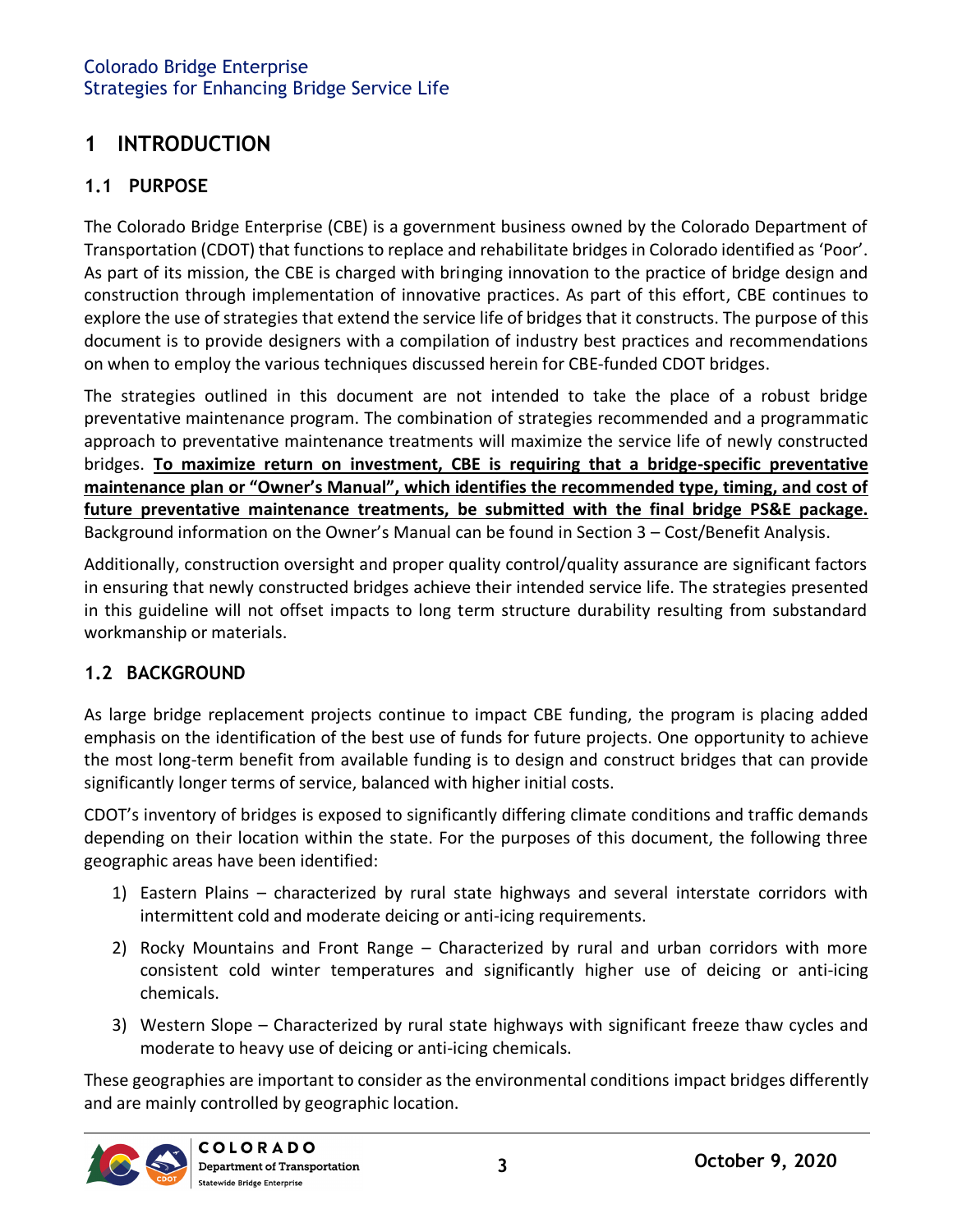# <span id="page-3-0"></span>**1 INTRODUCTION**

## <span id="page-3-1"></span>**1.1 PURPOSE**

The Colorado Bridge Enterprise (CBE) is a government business owned by the Colorado Department of Transportation (CDOT) that functions to replace and rehabilitate bridges in Colorado identified as 'Poor'. As part of its mission, the CBE is charged with bringing innovation to the practice of bridge design and construction through implementation of innovative practices. As part of this effort, CBE continues to explore the use of strategies that extend the service life of bridges that it constructs. The purpose of this document is to provide designers with a compilation of industry best practices and recommendations on when to employ the various techniques discussed herein for CBE-funded CDOT bridges.

The strategies outlined in this document are not intended to take the place of a robust bridge preventative maintenance program. The combination of strategies recommended and a programmatic approach to preventative maintenance treatments will maximize the service life of newly constructed bridges. **To maximize return on investment, CBE is requiring that a bridge-specific preventative maintenance plan or "Owner's Manual", which identifies the recommended type, timing, and cost of future preventative maintenance treatments, be submitted with the final bridge PS&E package.**  Background information on the Owner's Manual can be found in Section 3 – Cost/Benefit Analysis.

Additionally, construction oversight and proper quality control/quality assurance are significant factors in ensuring that newly constructed bridges achieve their intended service life. The strategies presented in this guideline will not offset impacts to long term structure durability resulting from substandard workmanship or materials.

#### <span id="page-3-2"></span>**1.2 BACKGROUND**

As large bridge replacement projects continue to impact CBE funding, the program is placing added emphasis on the identification of the best use of funds for future projects. One opportunity to achieve the most long-term benefit from available funding is to design and construct bridges that can provide significantly longer terms of service, balanced with higher initial costs.

CDOT's inventory of bridges is exposed to significantly differing climate conditions and traffic demands depending on their location within the state. For the purposes of this document, the following three geographic areas have been identified:

- 1) Eastern Plains characterized by rural state highways and several interstate corridors with intermittent cold and moderate deicing or anti-icing requirements.
- 2) Rocky Mountains and Front Range Characterized by rural and urban corridors with more consistent cold winter temperatures and significantly higher use of deicing or anti-icing chemicals.
- 3) Western Slope Characterized by rural state highways with significant freeze thaw cycles and moderate to heavy use of deicing or anti-icing chemicals.

These geographies are important to consider as the environmental conditions impact bridges differently and are mainly controlled by geographic location.

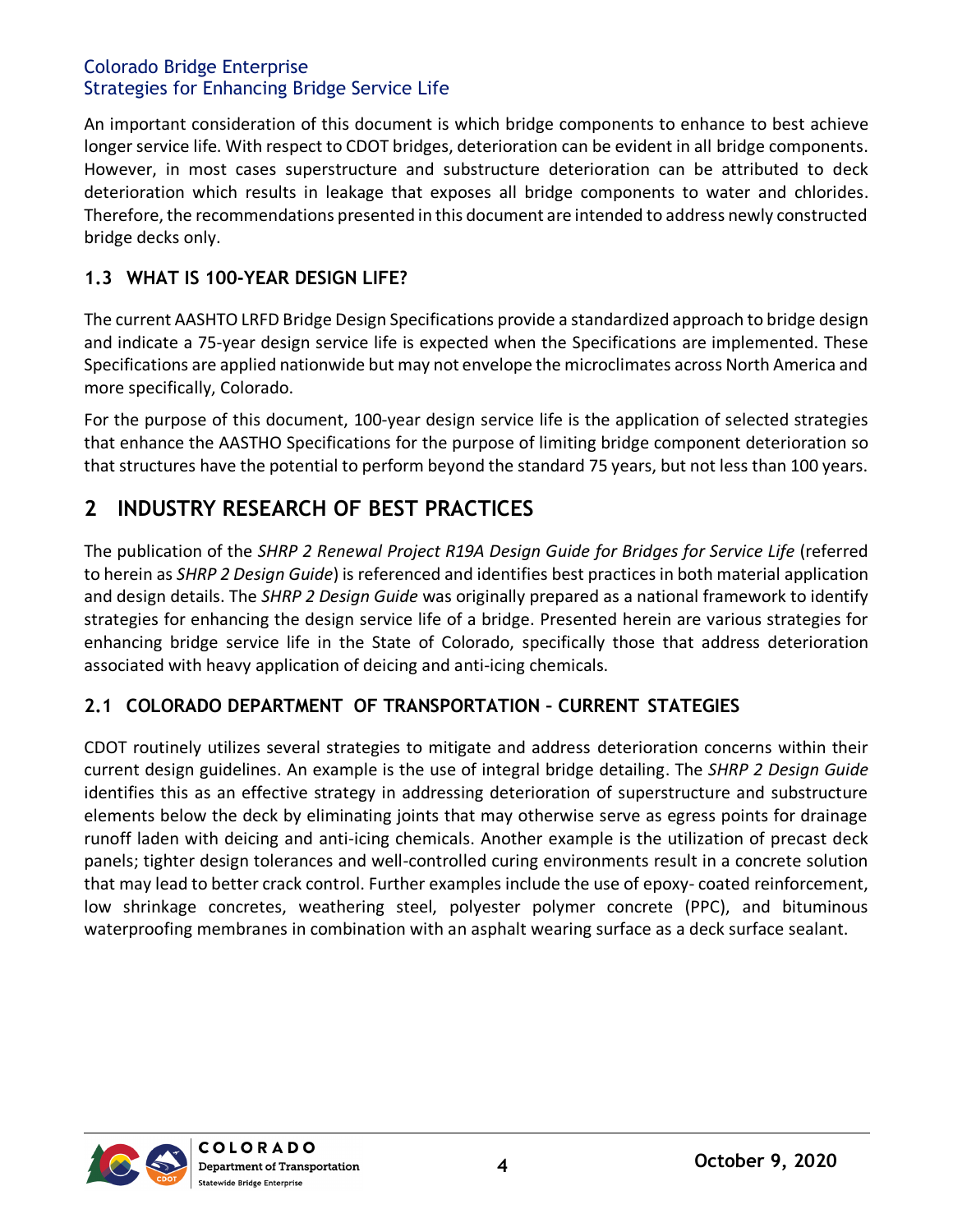An important consideration of this document is which bridge components to enhance to best achieve longer service life. With respect to CDOT bridges, deterioration can be evident in all bridge components. However, in most cases superstructure and substructure deterioration can be attributed to deck deterioration which results in leakage that exposes all bridge components to water and chlorides. Therefore, the recommendations presented in this document are intended to address newly constructed bridge decks only.

#### <span id="page-4-0"></span>**1.3 WHAT IS 100-YEAR DESIGN LIFE?**

The current AASHTO LRFD Bridge Design Specifications provide a standardized approach to bridge design and indicate a 75-year design service life is expected when the Specifications are implemented. These Specifications are applied nationwide but may not envelope the microclimates across North America and more specifically, Colorado.

For the purpose of this document, 100-year design service life is the application of selected strategies that enhance the AASTHO Specifications for the purpose of limiting bridge component deterioration so that structures have the potential to perform beyond the standard 75 years, but not less than 100 years.

# <span id="page-4-1"></span>**2 INDUSTRY RESEARCH OF BEST PRACTICES**

The publication of the *SHRP 2 Renewal Project R19A Design Guide for Bridges for Service Life* (referred to herein as *SHRP 2 Design Guide*) is referenced and identifies best practices in both material application and design details. The *SHRP 2 Design Guide* was originally prepared as a national framework to identify strategies for enhancing the design service life of a bridge. Presented herein are various strategies for enhancing bridge service life in the State of Colorado, specifically those that address deterioration associated with heavy application of deicing and anti-icing chemicals.

# <span id="page-4-2"></span>**2.1 COLORADO DEPARTMENT OF TRANSPORTATION – CURRENT STATEGIES**

CDOT routinely utilizes several strategies to mitigate and address deterioration concerns within their current design guidelines. An example is the use of integral bridge detailing. The *SHRP 2 Design Guide* identifies this as an effective strategy in addressing deterioration of superstructure and substructure elements below the deck by eliminating joints that may otherwise serve as egress points for drainage runoff laden with deicing and anti-icing chemicals. Another example is the utilization of precast deck panels; tighter design tolerances and well-controlled curing environments result in a concrete solution that may lead to better crack control. Further examples include the use of epoxy- coated reinforcement, low shrinkage concretes, weathering steel, polyester polymer concrete (PPC), and bituminous waterproofing membranes in combination with an asphalt wearing surface as a deck surface sealant.

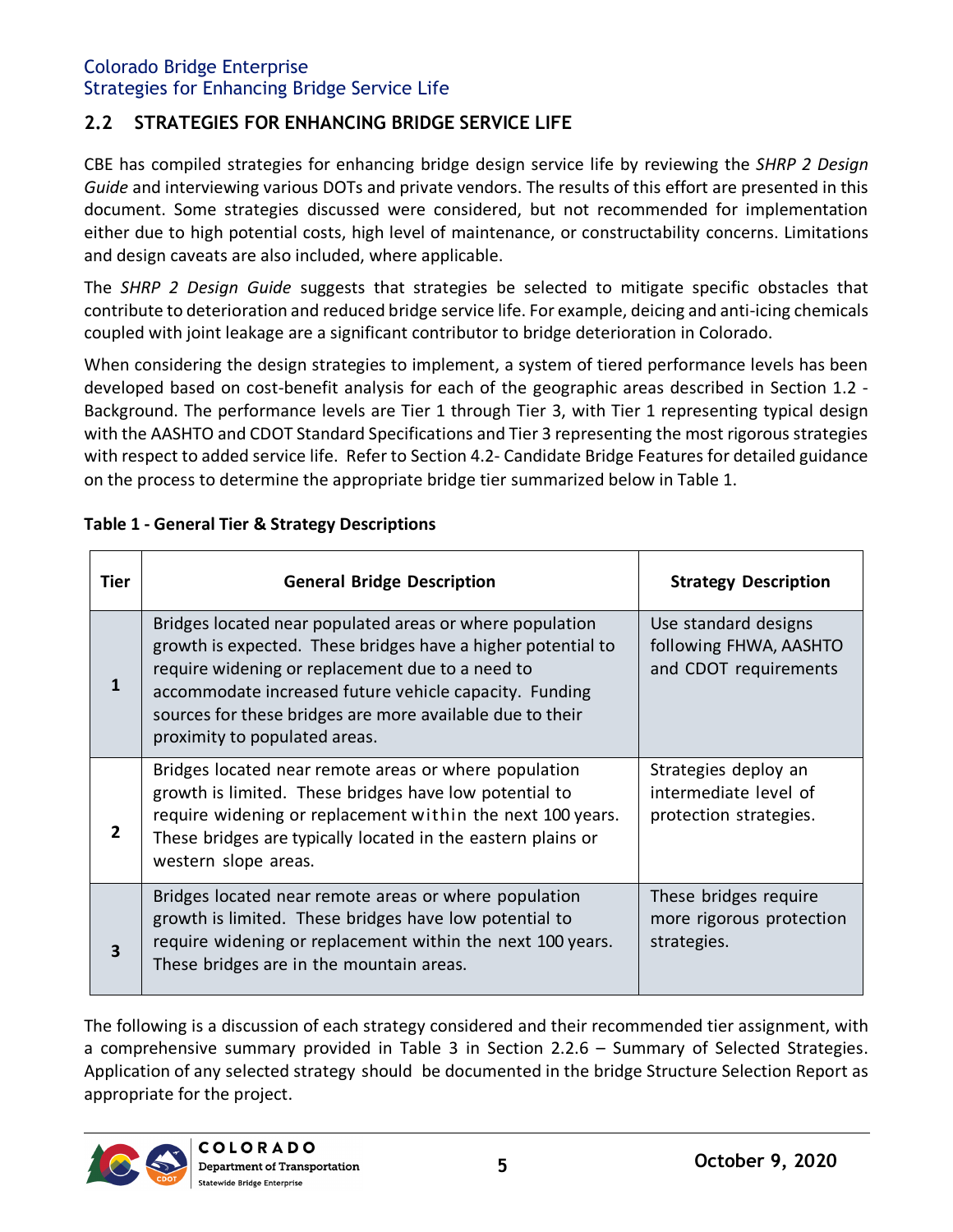## <span id="page-5-0"></span>**2.2 STRATEGIES FOR ENHANCING BRIDGE SERVICE LIFE**

CBE has compiled strategies for enhancing bridge design service life by reviewing the *SHRP 2 Design Guide* and interviewing various DOTs and private vendors. The results of this effort are presented in this document. Some strategies discussed were considered, but not recommended for implementation either due to high potential costs, high level of maintenance, or constructability concerns. Limitations and design caveats are also included, where applicable.

The *SHRP 2 Design Guide* suggests that strategies be selected to mitigate specific obstacles that contribute to deterioration and reduced bridge service life. For example, deicing and anti-icing chemicals coupled with joint leakage are a significant contributor to bridge deterioration in Colorado.

When considering the design strategies to implement, a system of tiered performance levels has been developed based on cost-benefit analysis for each of the geographic areas described in Section 1.2 - Background. The performance levels are Tier 1 through Tier 3, with Tier 1 representing typical design with the AASHTO and CDOT Standard Specifications and Tier 3 representing the most rigorous strategies with respect to added service life. Refer to Section 4.2- Candidate Bridge Features for detailed guidance on the process to determine the appropriate bridge tier summarized below in Table 1.

| Tier           | <b>General Bridge Description</b>                                                                                                                                                                                                                                                                                                    | <b>Strategy Description</b>                                             |
|----------------|--------------------------------------------------------------------------------------------------------------------------------------------------------------------------------------------------------------------------------------------------------------------------------------------------------------------------------------|-------------------------------------------------------------------------|
| 1              | Bridges located near populated areas or where population<br>growth is expected. These bridges have a higher potential to<br>require widening or replacement due to a need to<br>accommodate increased future vehicle capacity. Funding<br>sources for these bridges are more available due to their<br>proximity to populated areas. | Use standard designs<br>following FHWA, AASHTO<br>and CDOT requirements |
| $\overline{2}$ | Bridges located near remote areas or where population<br>growth is limited. These bridges have low potential to<br>require widening or replacement within the next 100 years.<br>These bridges are typically located in the eastern plains or<br>western slope areas.                                                                | Strategies deploy an<br>intermediate level of<br>protection strategies. |
| 3              | Bridges located near remote areas or where population<br>growth is limited. These bridges have low potential to<br>require widening or replacement within the next 100 years.<br>These bridges are in the mountain areas.                                                                                                            | These bridges require<br>more rigorous protection<br>strategies.        |

#### <span id="page-5-1"></span>**Table 1 - General Tier & Strategy Descriptions**

The following is a discussion of each strategy considered and their recommended tier assignment, with a comprehensive summary provided in Table 3 in Section 2.2.6 – Summary of Selected Strategies. Application of any selected strategy should be documented in the bridge Structure Selection Report as appropriate for the project.

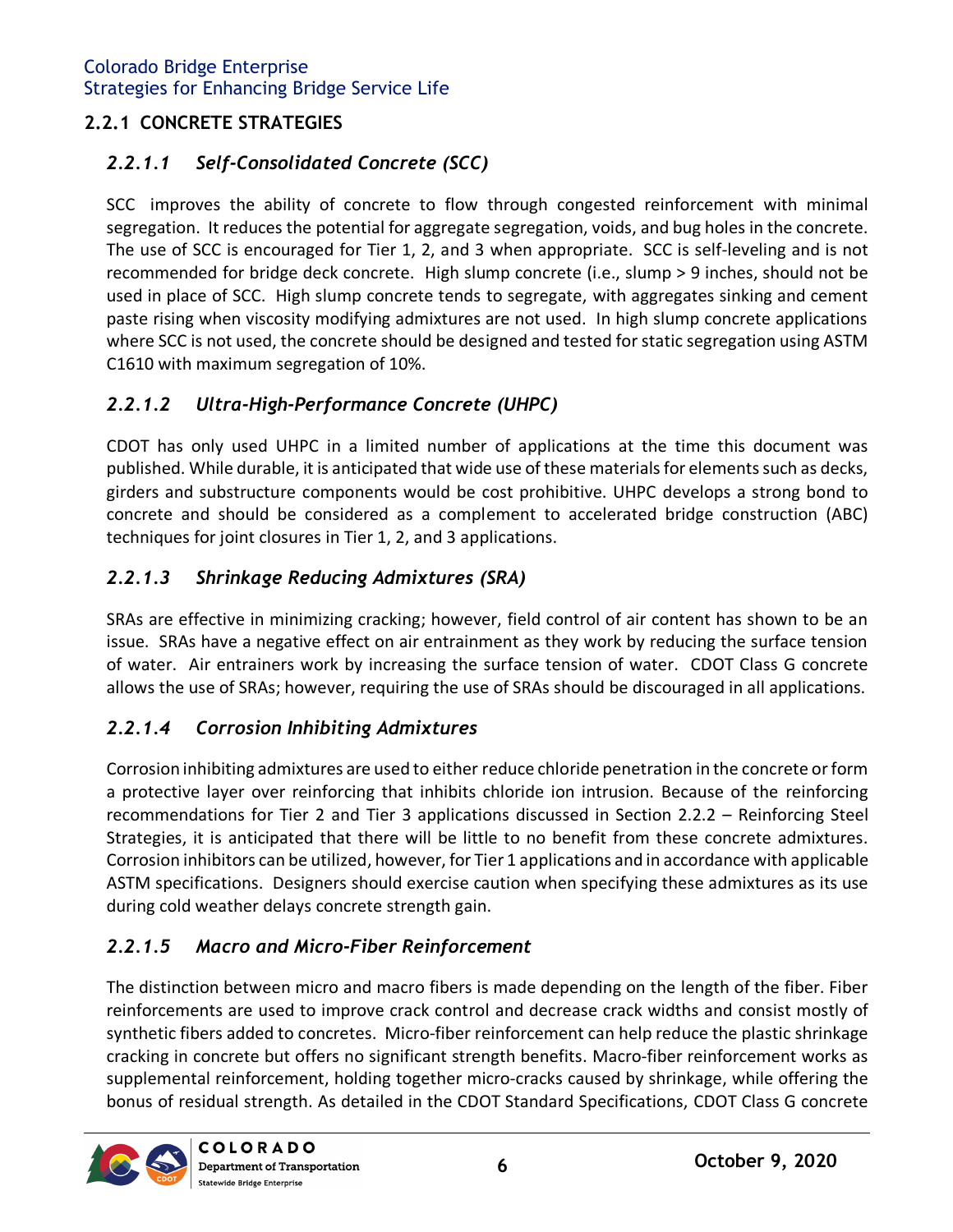# <span id="page-6-0"></span>**2.2.1 CONCRETE STRATEGIES**

# *2.2.1.1 Self-Consolidated Concrete (SCC)*

SCC improves the ability of concrete to flow through congested reinforcement with minimal segregation. It reduces the potential for aggregate segregation, voids, and bug holes in the concrete. The use of SCC is encouraged for Tier 1, 2, and 3 when appropriate. SCC is self-leveling and is not recommended for bridge deck concrete. High slump concrete (i.e., slump > 9 inches, should not be used in place of SCC. High slump concrete tends to segregate, with aggregates sinking and cement paste rising when viscosity modifying admixtures are not used. In high slump concrete applications where SCC is not used, the concrete should be designed and tested for static segregation using ASTM C1610 with maximum segregation of 10%.

# *2.2.1.2 Ultra-High-Performance Concrete (UHPC)*

CDOT has only used UHPC in a limited number of applications at the time this document was published. While durable, it is anticipated that wide use of these materials for elements such as decks, girders and substructure components would be cost prohibitive. UHPC develops a strong bond to concrete and should be considered as a complement to accelerated bridge construction (ABC) techniques for joint closures in Tier 1, 2, and 3 applications.

# *2.2.1.3 Shrinkage Reducing Admixtures (SRA)*

SRAs are effective in minimizing cracking; however, field control of air content has shown to be an issue. SRAs have a negative effect on air entrainment as they work by reducing the surface tension of water. Air entrainers work by increasing the surface tension of water. CDOT Class G concrete allows the use of SRAs; however, requiring the use of SRAs should be discouraged in all applications.

# *2.2.1.4 Corrosion Inhibiting Admixtures*

Corrosion inhibiting admixtures are used to either reduce chloride penetration in the concrete or form a protective layer over reinforcing that inhibits chloride ion intrusion. Because of the reinforcing recommendations for Tier 2 and Tier 3 applications discussed in Section 2.2.2 – Reinforcing Steel Strategies, it is anticipated that there will be little to no benefit from these concrete admixtures. Corrosion inhibitors can be utilized, however, for Tier 1 applications and in accordance with applicable ASTM specifications. Designers should exercise caution when specifying these admixtures as its use during cold weather delays concrete strength gain.

# *2.2.1.5 Macro and Micro-Fiber Reinforcement*

The distinction between micro and macro fibers is made depending on the length of the fiber. Fiber reinforcements are used to improve crack control and decrease crack widths and consist mostly of synthetic fibers added to concretes. Micro-fiber reinforcement can help reduce the plastic shrinkage cracking in concrete but offers no significant strength benefits. Macro-fiber reinforcement works as supplemental reinforcement, holding together micro-cracks caused by shrinkage, while offering the bonus of residual strength. As detailed in the CDOT Standard Specifications, CDOT Class G concrete

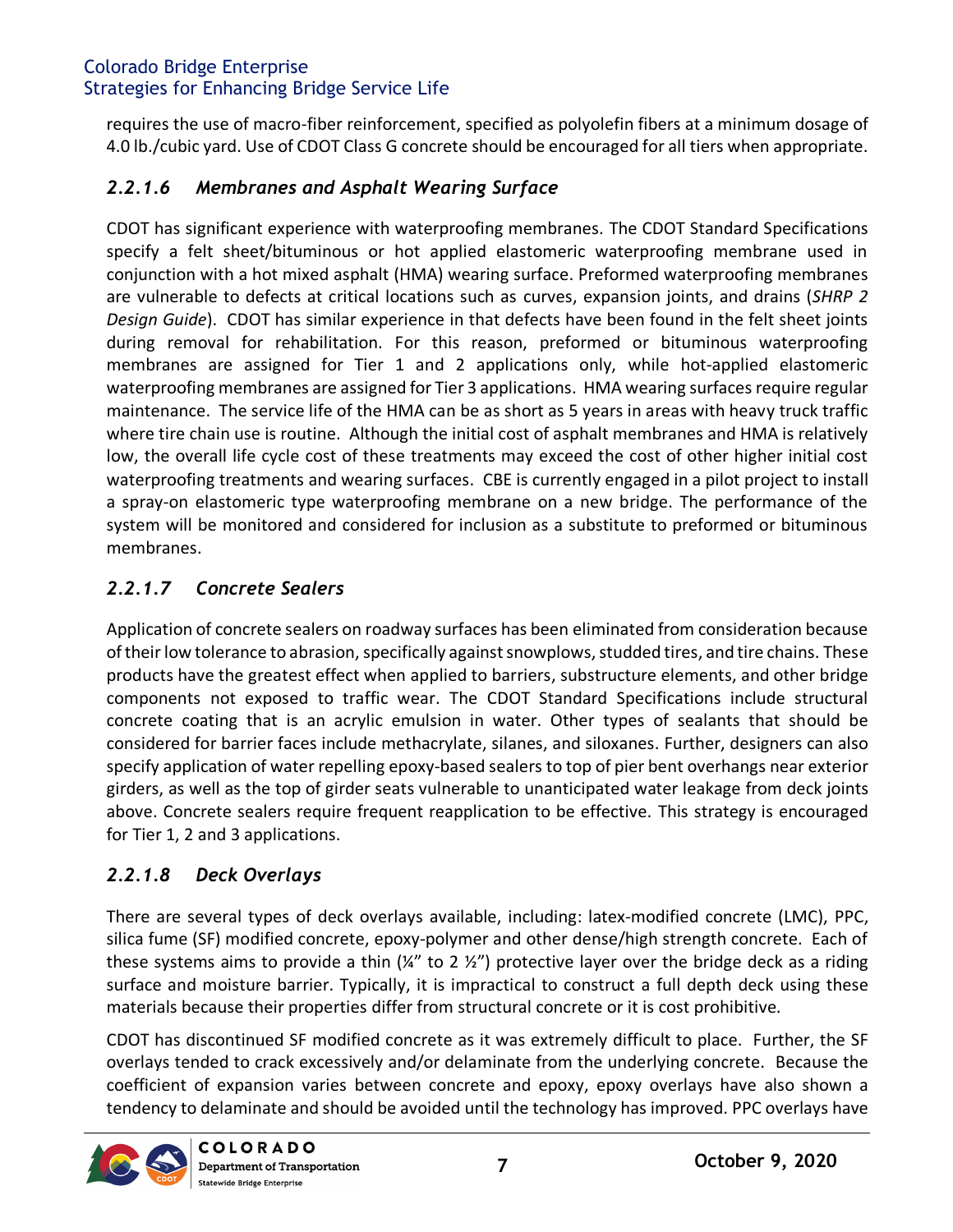requires the use of macro-fiber reinforcement, specified as polyolefin fibers at a minimum dosage of 4.0 lb./cubic yard. Use of CDOT Class G concrete should be encouraged for all tiers when appropriate.

# *2.2.1.6 Membranes and Asphalt Wearing Surface*

CDOT has significant experience with waterproofing membranes. The CDOT Standard Specifications specify a felt sheet/bituminous or hot applied elastomeric waterproofing membrane used in conjunction with a hot mixed asphalt (HMA) wearing surface. Preformed waterproofing membranes are vulnerable to defects at critical locations such as curves, expansion joints, and drains (*SHRP 2 Design Guide*). CDOT has similar experience in that defects have been found in the felt sheet joints during removal for rehabilitation. For this reason, preformed or bituminous waterproofing membranes are assigned for Tier 1 and 2 applications only, while hot-applied elastomeric waterproofing membranes are assigned for Tier 3 applications. HMA wearing surfaces require regular maintenance. The service life of the HMA can be as short as 5 years in areas with heavy truck traffic where tire chain use is routine. Although the initial cost of asphalt membranes and HMA is relatively low, the overall life cycle cost of these treatments may exceed the cost of other higher initial cost waterproofing treatments and wearing surfaces. CBE is currently engaged in a pilot project to install a spray-on elastomeric type waterproofing membrane on a new bridge. The performance of the system will be monitored and considered for inclusion as a substitute to preformed or bituminous membranes.

# *2.2.1.7 Concrete Sealers*

Application of concrete sealers on roadway surfaces has been eliminated from consideration because of their low tolerance to abrasion, specifically against snowplows, studded tires, and tire chains. These products have the greatest effect when applied to barriers, substructure elements, and other bridge components not exposed to traffic wear. The CDOT Standard Specifications include structural concrete coating that is an acrylic emulsion in water. Other types of sealants that should be considered for barrier faces include methacrylate, silanes, and siloxanes. Further, designers can also specify application of water repelling epoxy-based sealers to top of pier bent overhangs near exterior girders, as well as the top of girder seats vulnerable to unanticipated water leakage from deck joints above. Concrete sealers require frequent reapplication to be effective. This strategy is encouraged for Tier 1, 2 and 3 applications.

# *2.2.1.8 Deck Overlays*

There are several types of deck overlays available, including: latex-modified concrete (LMC), PPC, silica fume (SF) modified concrete, epoxy-polymer and other dense/high strength concrete. Each of these systems aims to provide a thin  $(\frac{1}{4}$ " to 2  $\frac{1}{2}$ ") protective layer over the bridge deck as a riding surface and moisture barrier. Typically, it is impractical to construct a full depth deck using these materials because their properties differ from structural concrete or it is cost prohibitive.

CDOT has discontinued SF modified concrete as it was extremely difficult to place. Further, the SF overlays tended to crack excessively and/or delaminate from the underlying concrete. Because the coefficient of expansion varies between concrete and epoxy, epoxy overlays have also shown a tendency to delaminate and should be avoided until the technology has improved. PPC overlays have

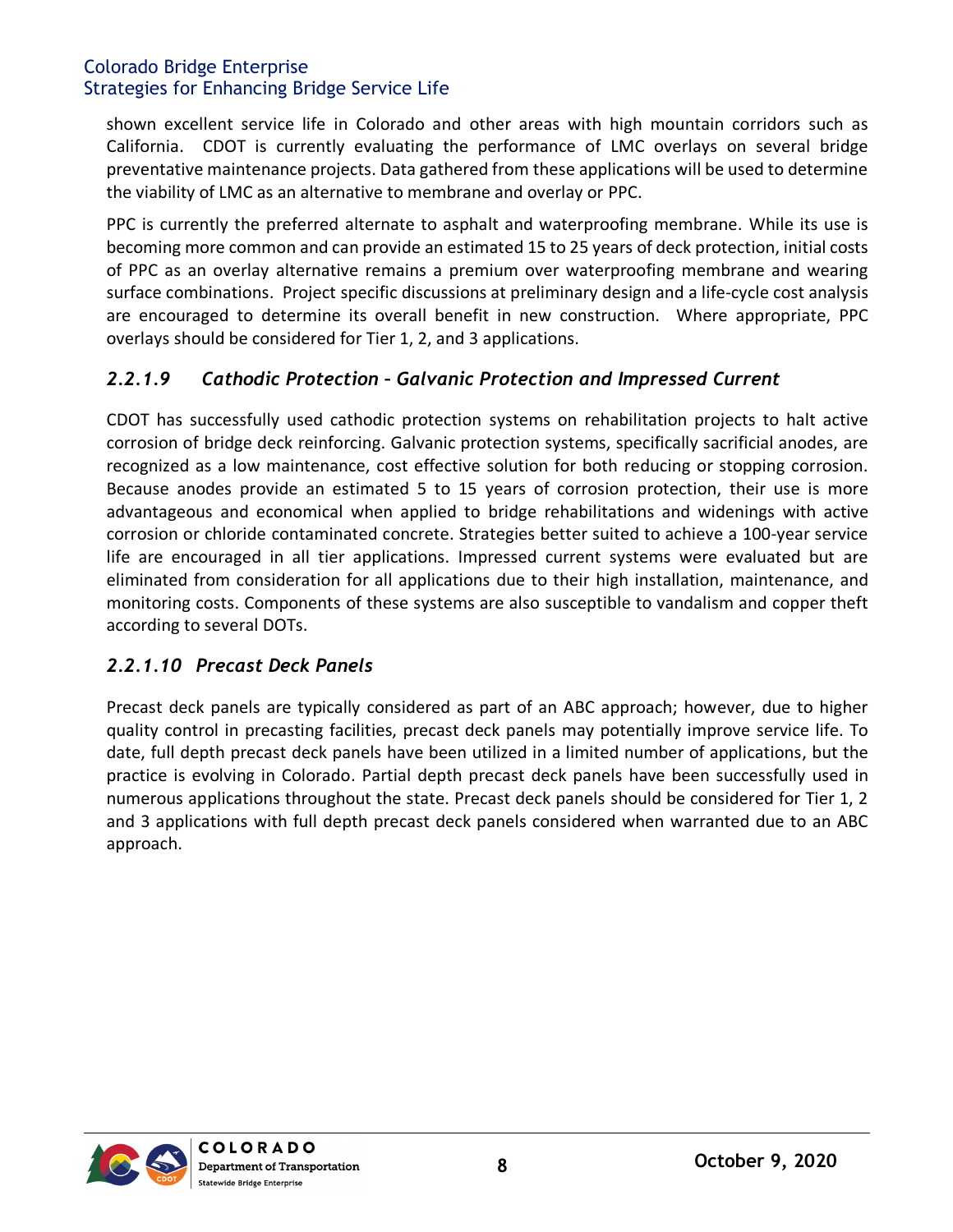shown excellent service life in Colorado and other areas with high mountain corridors such as California. CDOT is currently evaluating the performance of LMC overlays on several bridge preventative maintenance projects. Data gathered from these applications will be used to determine the viability of LMC as an alternative to membrane and overlay or PPC.

PPC is currently the preferred alternate to asphalt and waterproofing membrane. While its use is becoming more common and can provide an estimated 15 to 25 years of deck protection, initial costs of PPC as an overlay alternative remains a premium over waterproofing membrane and wearing surface combinations. Project specific discussions at preliminary design and a life-cycle cost analysis are encouraged to determine its overall benefit in new construction. Where appropriate, PPC overlays should be considered for Tier 1, 2, and 3 applications.

#### *2.2.1.9 Cathodic Protection – Galvanic Protection and Impressed Current*

CDOT has successfully used cathodic protection systems on rehabilitation projects to halt active corrosion of bridge deck reinforcing. Galvanic protection systems, specifically sacrificial anodes, are recognized as a low maintenance, cost effective solution for both reducing or stopping corrosion. Because anodes provide an estimated 5 to 15 years of corrosion protection, their use is more advantageous and economical when applied to bridge rehabilitations and widenings with active corrosion or chloride contaminated concrete. Strategies better suited to achieve a 100-year service life are encouraged in all tier applications. Impressed current systems were evaluated but are eliminated from consideration for all applications due to their high installation, maintenance, and monitoring costs. Components of these systems are also susceptible to vandalism and copper theft according to several DOTs.

#### *2.2.1.10 Precast Deck Panels*

Precast deck panels are typically considered as part of an ABC approach; however, due to higher quality control in precasting facilities, precast deck panels may potentially improve service life. To date, full depth precast deck panels have been utilized in a limited number of applications, but the practice is evolving in Colorado. Partial depth precast deck panels have been successfully used in numerous applications throughout the state. Precast deck panels should be considered for Tier 1, 2 and 3 applications with full depth precast deck panels considered when warranted due to an ABC approach.

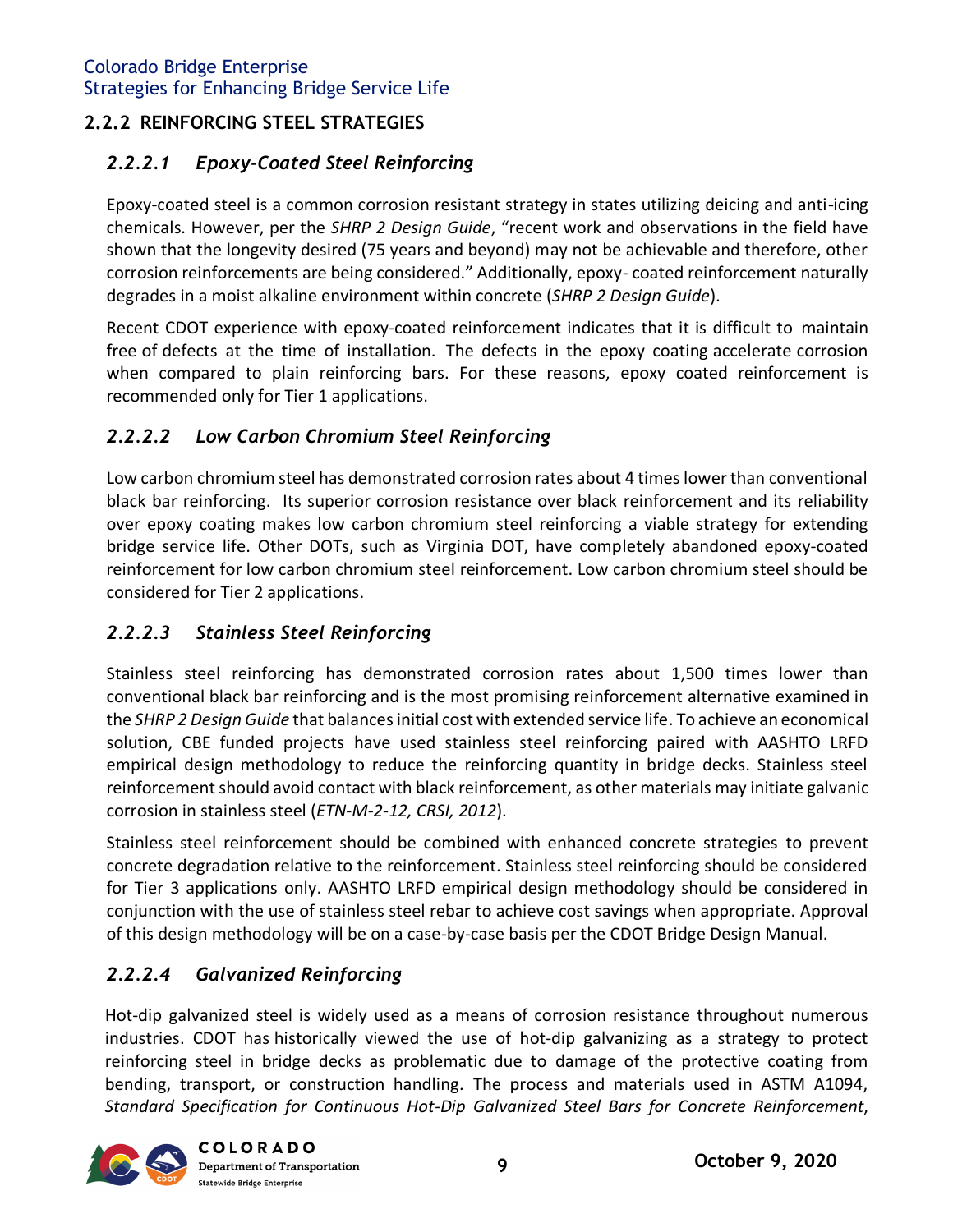## <span id="page-9-0"></span>**2.2.2 REINFORCING STEEL STRATEGIES**

# *2.2.2.1 Epoxy-Coated Steel Reinforcing*

Epoxy-coated steel is a common corrosion resistant strategy in states utilizing deicing and anti-icing chemicals. However, per the *SHRP 2 Design Guide*, "recent work and observations in the field have shown that the longevity desired (75 years and beyond) may not be achievable and therefore, other corrosion reinforcements are being considered." Additionally, epoxy- coated reinforcement naturally degrades in a moist alkaline environment within concrete (*SHRP 2 Design Guide*).

Recent CDOT experience with epoxy-coated reinforcement indicates that it is difficult to maintain free of defects at the time of installation. The defects in the epoxy coating accelerate corrosion when compared to plain reinforcing bars. For these reasons, epoxy coated reinforcement is recommended only for Tier 1 applications.

# *2.2.2.2 Low Carbon Chromium Steel Reinforcing*

Low carbon chromium steel has demonstrated corrosion rates about 4 times lower than conventional black bar reinforcing. Its superior corrosion resistance over black reinforcement and its reliability over epoxy coating makes low carbon chromium steel reinforcing a viable strategy for extending bridge service life. Other DOTs, such as Virginia DOT, have completely abandoned epoxy-coated reinforcement for low carbon chromium steel reinforcement. Low carbon chromium steel should be considered for Tier 2 applications.

# *2.2.2.3 Stainless Steel Reinforcing*

Stainless steel reinforcing has demonstrated corrosion rates about 1,500 times lower than conventional black bar reinforcing and is the most promising reinforcement alternative examined in the *SHRP 2 Design Guide* that balances initial cost with extended service life. To achieve an economical solution, CBE funded projects have used stainless steel reinforcing paired with AASHTO LRFD empirical design methodology to reduce the reinforcing quantity in bridge decks. Stainless steel reinforcement should avoid contact with black reinforcement, as other materials may initiate galvanic corrosion in stainless steel (*ETN-M-2-12, CRSI, 2012*).

Stainless steel reinforcement should be combined with enhanced concrete strategies to prevent concrete degradation relative to the reinforcement. Stainless steel reinforcing should be considered for Tier 3 applications only. AASHTO LRFD empirical design methodology should be considered in conjunction with the use of stainless steel rebar to achieve cost savings when appropriate. Approval of this design methodology will be on a case-by-case basis per the CDOT Bridge Design Manual.

# *2.2.2.4 Galvanized Reinforcing*

Hot-dip galvanized steel is widely used as a means of corrosion resistance throughout numerous industries. CDOT has historically viewed the use of hot-dip galvanizing as a strategy to protect reinforcing steel in bridge decks as problematic due to damage of the protective coating from bending, transport, or construction handling. The process and materials used in ASTM A1094, *Standard Specification for Continuous Hot-Dip Galvanized Steel Bars for Concrete Reinforcement*,

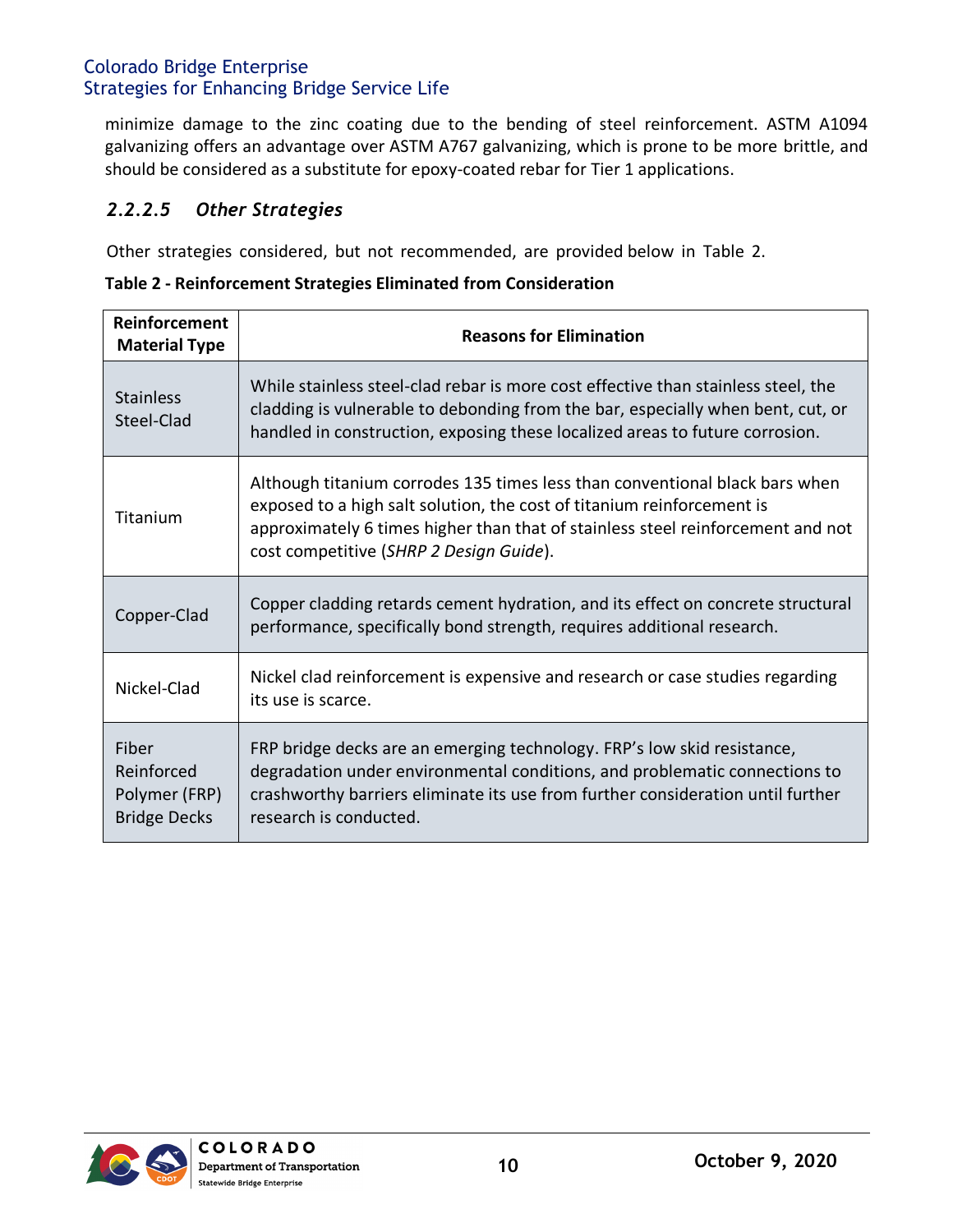minimize damage to the zinc coating due to the bending of steel reinforcement. ASTM A1094 galvanizing offers an advantage over ASTM A767 galvanizing, which is prone to be more brittle, and should be considered as a substitute for epoxy-coated rebar for Tier 1 applications.

#### *2.2.2.5 Other Strategies*

Other strategies considered, but not recommended, are provided below in Table 2.

<span id="page-10-0"></span>**Table 2 - Reinforcement Strategies Eliminated from Consideration**

| Reinforcement<br><b>Material Type</b>                       | <b>Reasons for Elimination</b>                                                                                                                                                                                                                                                      |  |
|-------------------------------------------------------------|-------------------------------------------------------------------------------------------------------------------------------------------------------------------------------------------------------------------------------------------------------------------------------------|--|
| <b>Stainless</b><br>Steel-Clad                              | While stainless steel-clad rebar is more cost effective than stainless steel, the<br>cladding is vulnerable to debonding from the bar, especially when bent, cut, or<br>handled in construction, exposing these localized areas to future corrosion.                                |  |
| Titanium                                                    | Although titanium corrodes 135 times less than conventional black bars when<br>exposed to a high salt solution, the cost of titanium reinforcement is<br>approximately 6 times higher than that of stainless steel reinforcement and not<br>cost competitive (SHRP 2 Design Guide). |  |
| Copper-Clad                                                 | Copper cladding retards cement hydration, and its effect on concrete structural<br>performance, specifically bond strength, requires additional research.                                                                                                                           |  |
| Nickel-Clad                                                 | Nickel clad reinforcement is expensive and research or case studies regarding<br>its use is scarce.                                                                                                                                                                                 |  |
| Fiber<br>Reinforced<br>Polymer (FRP)<br><b>Bridge Decks</b> | FRP bridge decks are an emerging technology. FRP's low skid resistance,<br>degradation under environmental conditions, and problematic connections to<br>crashworthy barriers eliminate its use from further consideration until further<br>research is conducted.                  |  |

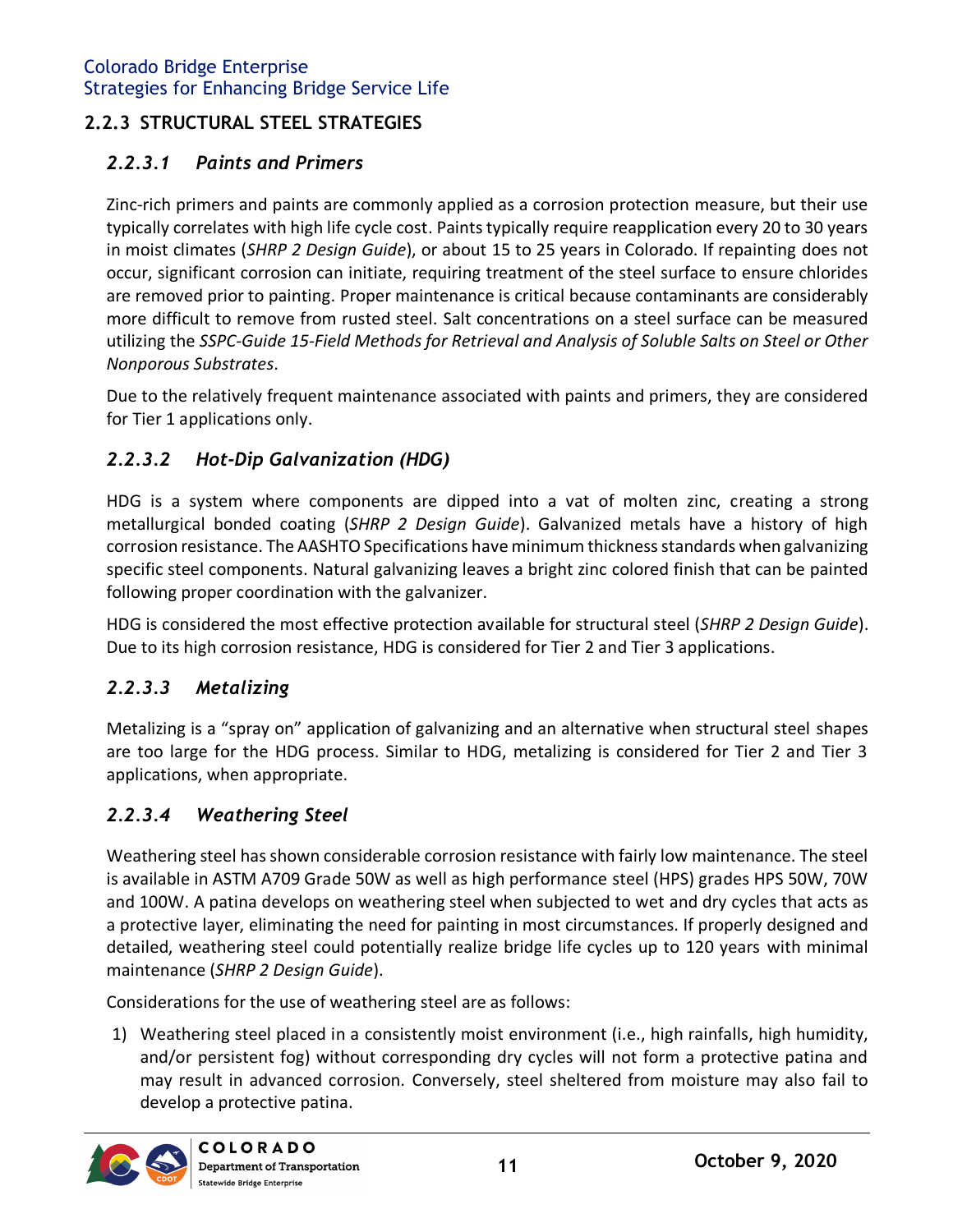## <span id="page-11-0"></span>**2.2.3 STRUCTURAL STEEL STRATEGIES**

## *2.2.3.1 Paints and Primers*

Zinc-rich primers and paints are commonly applied as a corrosion protection measure, but their use typically correlates with high life cycle cost. Paints typically require reapplication every 20 to 30 years in moist climates (*SHRP 2 Design Guide*), or about 15 to 25 years in Colorado. If repainting does not occur, significant corrosion can initiate, requiring treatment of the steel surface to ensure chlorides are removed prior to painting. Proper maintenance is critical because contaminants are considerably more difficult to remove from rusted steel. Salt concentrations on a steel surface can be measured utilizing the *SSPC-Guide 15-Field Methods for Retrieval and Analysis of Soluble Salts on Steel or Other Nonporous Substrates*.

Due to the relatively frequent maintenance associated with paints and primers, they are considered for Tier 1 applications only.

#### *2.2.3.2 Hot-Dip Galvanization (HDG)*

HDG is a system where components are dipped into a vat of molten zinc, creating a strong metallurgical bonded coating (*SHRP 2 Design Guide*). Galvanized metals have a history of high corrosion resistance. The AASHTO Specifications have minimum thickness standards when galvanizing specific steel components. Natural galvanizing leaves a bright zinc colored finish that can be painted following proper coordination with the galvanizer.

HDG is considered the most effective protection available for structural steel (*SHRP 2 Design Guide*). Due to its high corrosion resistance, HDG is considered for Tier 2 and Tier 3 applications.

#### *2.2.3.3 Metalizing*

Metalizing is a "spray on" application of galvanizing and an alternative when structural steel shapes are too large for the HDG process. Similar to HDG, metalizing is considered for Tier 2 and Tier 3 applications, when appropriate.

#### *2.2.3.4 Weathering Steel*

Weathering steel has shown considerable corrosion resistance with fairly low maintenance. The steel is available in ASTM A709 Grade 50W as well as high performance steel (HPS) grades HPS 50W, 70W and 100W. A patina develops on weathering steel when subjected to wet and dry cycles that acts as a protective layer, eliminating the need for painting in most circumstances. If properly designed and detailed, weathering steel could potentially realize bridge life cycles up to 120 years with minimal maintenance (*SHRP 2 Design Guide*).

Considerations for the use of weathering steel are as follows:

1) Weathering steel placed in a consistently moist environment (i.e., high rainfalls, high humidity, and/or persistent fog) without corresponding dry cycles will not form a protective patina and may result in advanced corrosion. Conversely, steel sheltered from moisture may also fail to develop a protective patina.

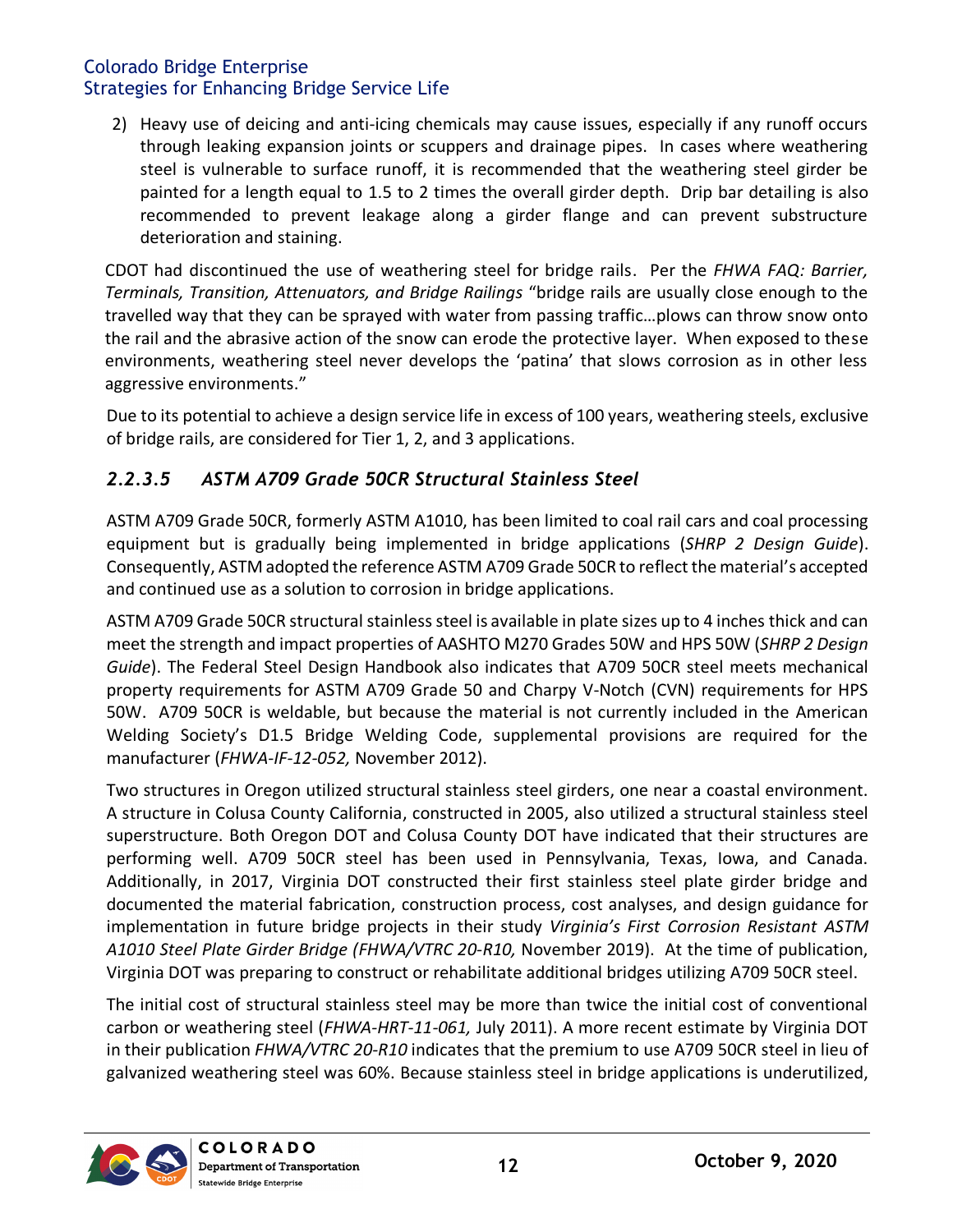2) Heavy use of deicing and anti-icing chemicals may cause issues, especially if any runoff occurs through leaking expansion joints or scuppers and drainage pipes. In cases where weathering steel is vulnerable to surface runoff, it is recommended that the weathering steel girder be painted for a length equal to 1.5 to 2 times the overall girder depth. Drip bar detailing is also recommended to prevent leakage along a girder flange and can prevent substructure deterioration and staining.

CDOT had discontinued the use of weathering steel for bridge rails. Per the *FHWA FAQ: Barrier, Terminals, Transition, Attenuators, and Bridge Railings* "bridge rails are usually close enough to the travelled way that they can be sprayed with water from passing traffic…plows can throw snow onto the rail and the abrasive action of the snow can erode the protective layer. When exposed to these environments, weathering steel never develops the 'patina' that slows corrosion as in other less aggressive environments."

Due to its potential to achieve a design service life in excess of 100 years, weathering steels, exclusive of bridge rails, are considered for Tier 1, 2, and 3 applications.

# *2.2.3.5 ASTM A709 Grade 50CR Structural Stainless Steel*

ASTM A709 Grade 50CR, formerly ASTM A1010, has been limited to coal rail cars and coal processing equipment but is gradually being implemented in bridge applications (*SHRP 2 Design Guide*). Consequently, ASTM adopted the reference ASTM A709 Grade 50CR to reflect the material's accepted and continued use as a solution to corrosion in bridge applications.

ASTM A709 Grade 50CR structural stainless steel is available in plate sizes up to 4 inches thick and can meet the strength and impact properties of AASHTO M270 Grades 50W and HPS 50W (*SHRP 2 Design Guide*). The Federal Steel Design Handbook also indicates that A709 50CR steel meets mechanical property requirements for ASTM A709 Grade 50 and Charpy V-Notch (CVN) requirements for HPS 50W. A709 50CR is weldable, but because the material is not currently included in the American Welding Society's D1.5 Bridge Welding Code, supplemental provisions are required for the manufacturer (*FHWA-IF-12-052,* November 2012).

Two structures in Oregon utilized structural stainless steel girders, one near a coastal environment. A structure in Colusa County California, constructed in 2005, also utilized a structural stainless steel superstructure. Both Oregon DOT and Colusa County DOT have indicated that their structures are performing well. A709 50CR steel has been used in Pennsylvania, Texas, Iowa, and Canada. Additionally, in 2017, Virginia DOT constructed their first stainless steel plate girder bridge and documented the material fabrication, construction process, cost analyses, and design guidance for implementation in future bridge projects in their study *Virginia's First Corrosion Resistant ASTM A1010 Steel Plate Girder Bridge (FHWA/VTRC 20-R10,* November 2019). At the time of publication, Virginia DOT was preparing to construct or rehabilitate additional bridges utilizing A709 50CR steel.

The initial cost of structural stainless steel may be more than twice the initial cost of conventional carbon or weathering steel (*FHWA-HRT-11-061,* July 2011). A more recent estimate by Virginia DOT in their publication *FHWA/VTRC 20-R10* indicates that the premium to use A709 50CR steel in lieu of galvanized weathering steel was 60%. Because stainless steel in bridge applications is underutilized,

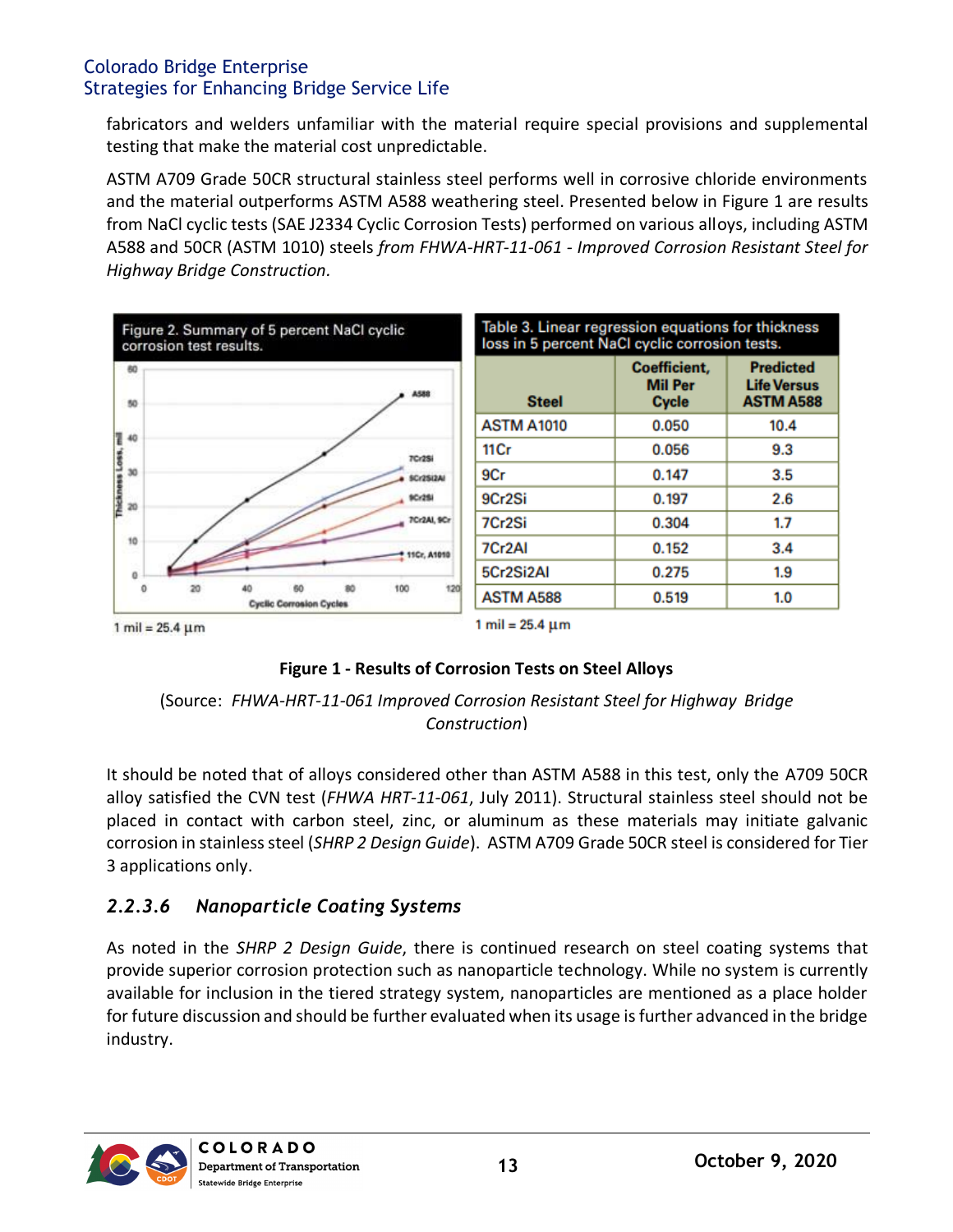<span id="page-13-0"></span>fabricators and welders unfamiliar with the material require special provisions and supplemental testing that make the material cost unpredictable.

ASTM A709 Grade 50CR structural stainless steel performs well in corrosive chloride environments and the material outperforms ASTM A588 weathering steel. Presented below in Figure 1 are results from NaCl cyclic tests (SAE J2334 Cyclic Corrosion Tests) performed on various alloys, including ASTM A588 and 50CR (ASTM 1010) steels *from FHWA-HRT-11-061 - Improved Corrosion Resistant Steel for Highway Bridge Construction.*



#### **Figure 1 - Results of Corrosion Tests on Steel Alloys**

#### (Source: *FHWA-HRT-11-061 Improved Corrosion Resistant Steel for Highway Bridge Construction*)

It should be noted that of alloys considered other than ASTM A588 in this test, only the A709 50CR alloy satisfied the CVN test (*FHWA HRT-11-061*, July 2011). Structural stainless steel should not be placed in contact with carbon steel, zinc, or aluminum as these materials may initiate galvanic corrosion in stainless steel (*SHRP 2 Design Guide*). ASTM A709 Grade 50CR steel is considered for Tier 3 applications only.

# *2.2.3.6 Nanoparticle Coating Systems*

As noted in the *SHRP 2 Design Guide*, there is continued research on steel coating systems that provide superior corrosion protection such as nanoparticle technology. While no system is currently available for inclusion in the tiered strategy system, nanoparticles are mentioned as a place holder for future discussion and should be further evaluated when its usage is further advanced in the bridge industry.

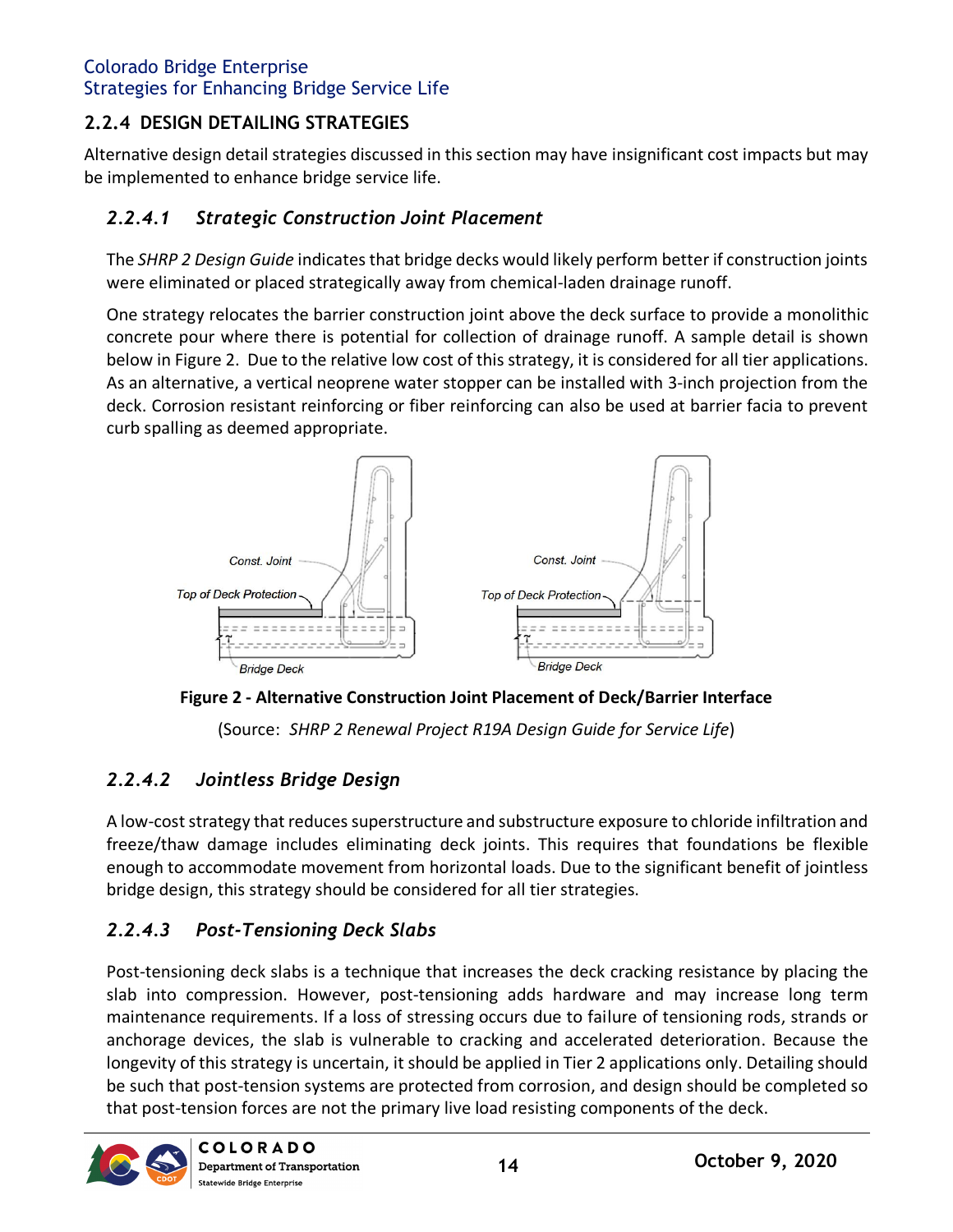# <span id="page-14-1"></span><span id="page-14-0"></span>**2.2.4 DESIGN DETAILING STRATEGIES**

Alternative design detail strategies discussed in this section may have insignificant cost impacts but may be implemented to enhance bridge service life.

# *2.2.4.1 Strategic Construction Joint Placement*

The *SHRP 2 Design Guide* indicates that bridge decks would likely perform better if construction joints were eliminated or placed strategically away from chemical-laden drainage runoff.

One strategy relocates the barrier construction joint above the deck surface to provide a monolithic concrete pour where there is potential for collection of drainage runoff. A sample detail is shown below in Figure 2. Due to the relative low cost of this strategy, it is considered for all tier applications. As an alternative, a vertical neoprene water stopper can be installed with 3-inch projection from the deck. Corrosion resistant reinforcing or fiber reinforcing can also be used at barrier facia to prevent curb spalling as deemed appropriate.



**Figure 2 - Alternative Construction Joint Placement of Deck/Barrier Interface**

(Source: *SHRP 2 Renewal Project R19A Design Guide for Service Life*)

# *2.2.4.2 Jointless Bridge Design*

A low-cost strategy that reduces superstructure and substructure exposure to chloride infiltration and freeze/thaw damage includes eliminating deck joints. This requires that foundations be flexible enough to accommodate movement from horizontal loads. Due to the significant benefit of jointless bridge design, this strategy should be considered for all tier strategies.

# *2.2.4.3 Post-Tensioning Deck Slabs*

Post-tensioning deck slabs is a technique that increases the deck cracking resistance by placing the slab into compression. However, post-tensioning adds hardware and may increase long term maintenance requirements. If a loss of stressing occurs due to failure of tensioning rods, strands or anchorage devices, the slab is vulnerable to cracking and accelerated deterioration. Because the longevity of this strategy is uncertain, it should be applied in Tier 2 applications only. Detailing should be such that post-tension systems are protected from corrosion, and design should be completed so that post-tension forces are not the primary live load resisting components of the deck.

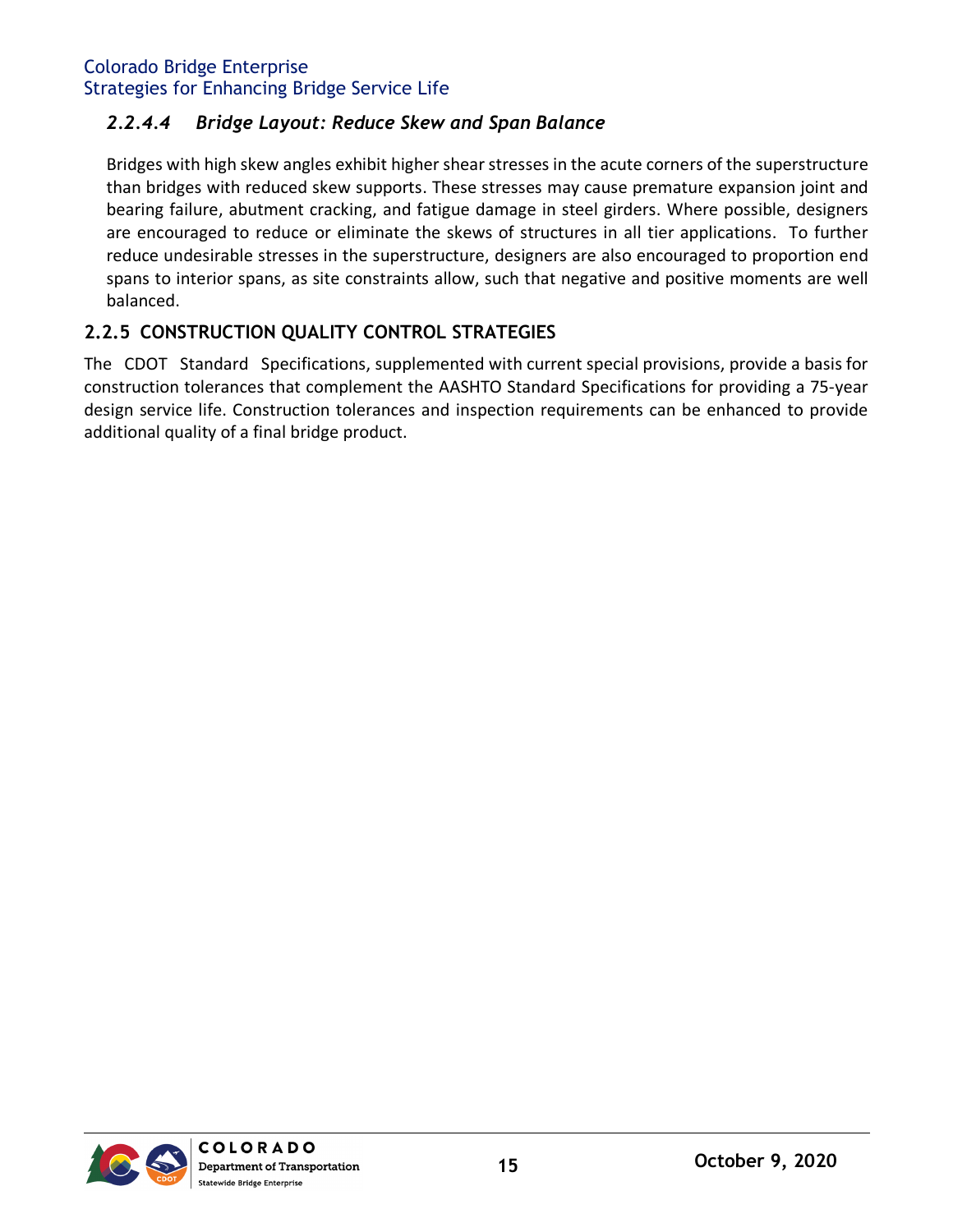#### *2.2.4.4 Bridge Layout: Reduce Skew and Span Balance*

Bridges with high skew angles exhibit higher shear stresses in the acute corners of the superstructure than bridges with reduced skew supports. These stresses may cause premature expansion joint and bearing failure, abutment cracking, and fatigue damage in steel girders. Where possible, designers are encouraged to reduce or eliminate the skews of structures in all tier applications. To further reduce undesirable stresses in the superstructure, designers are also encouraged to proportion end spans to interior spans, as site constraints allow, such that negative and positive moments are well balanced.

## <span id="page-15-0"></span>**2.2.5 CONSTRUCTION QUALITY CONTROL STRATEGIES**

The CDOT Standard Specifications, supplemented with current special provisions, provide a basis for construction tolerances that complement the AASHTO Standard Specifications for providing a 75-year design service life. Construction tolerances and inspection requirements can be enhanced to provide additional quality of a final bridge product.

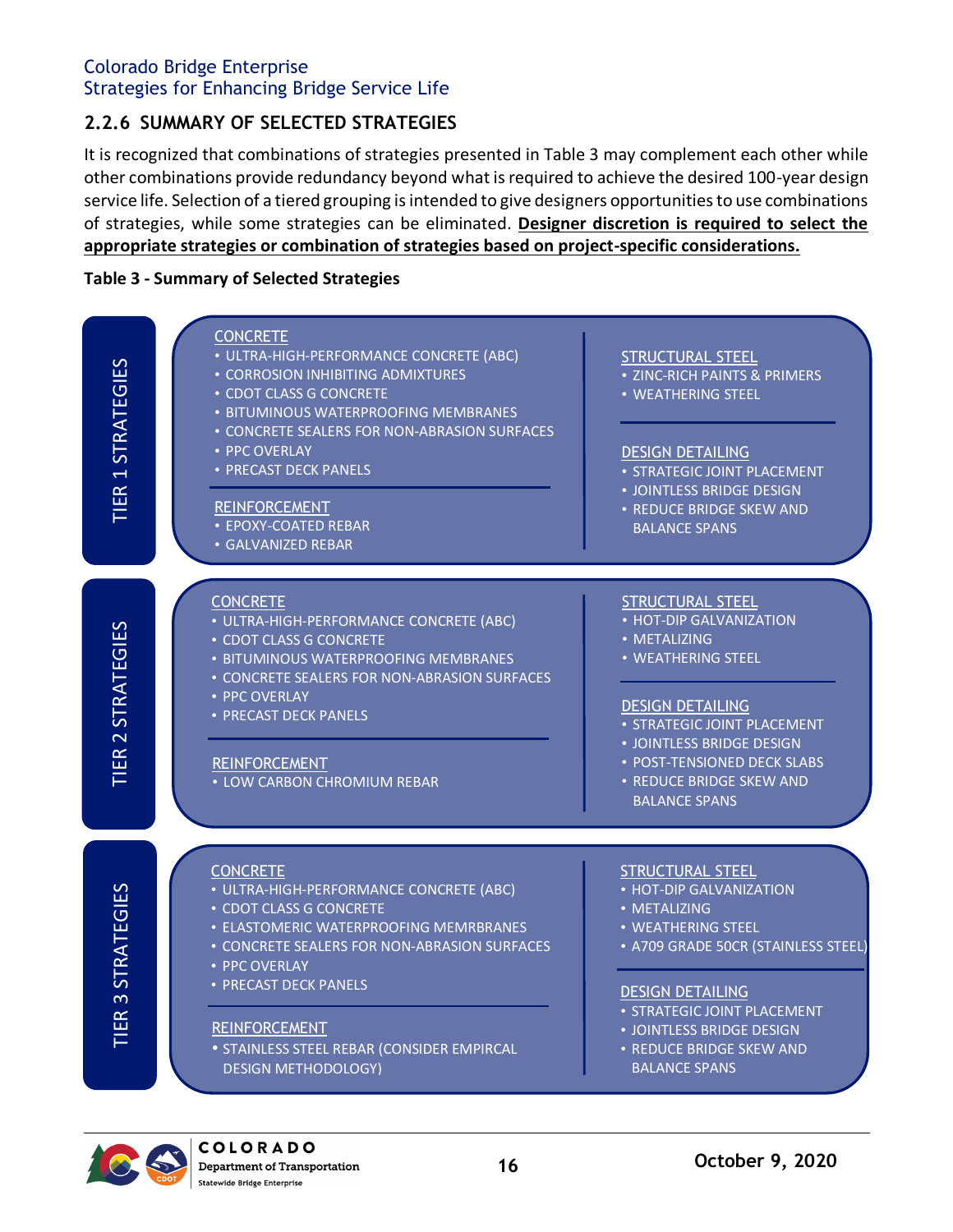# <span id="page-16-0"></span>**2.2.6 SUMMARY OF SELECTED STRATEGIES**

It is recognized that combinations of strategies presented in Table 3 may complement each other while other combinations provide redundancy beyond what is required to achieve the desired 100-year design service life. Selection of a tiered grouping is intended to give designers opportunities to use combinations of strategies, while some strategies can be eliminated. **Designer discretion is required to select the appropriate strategies or combination of strategies based on project-specific considerations.**

#### <span id="page-16-1"></span>**Table 3 - Summary of Selected Strategies**



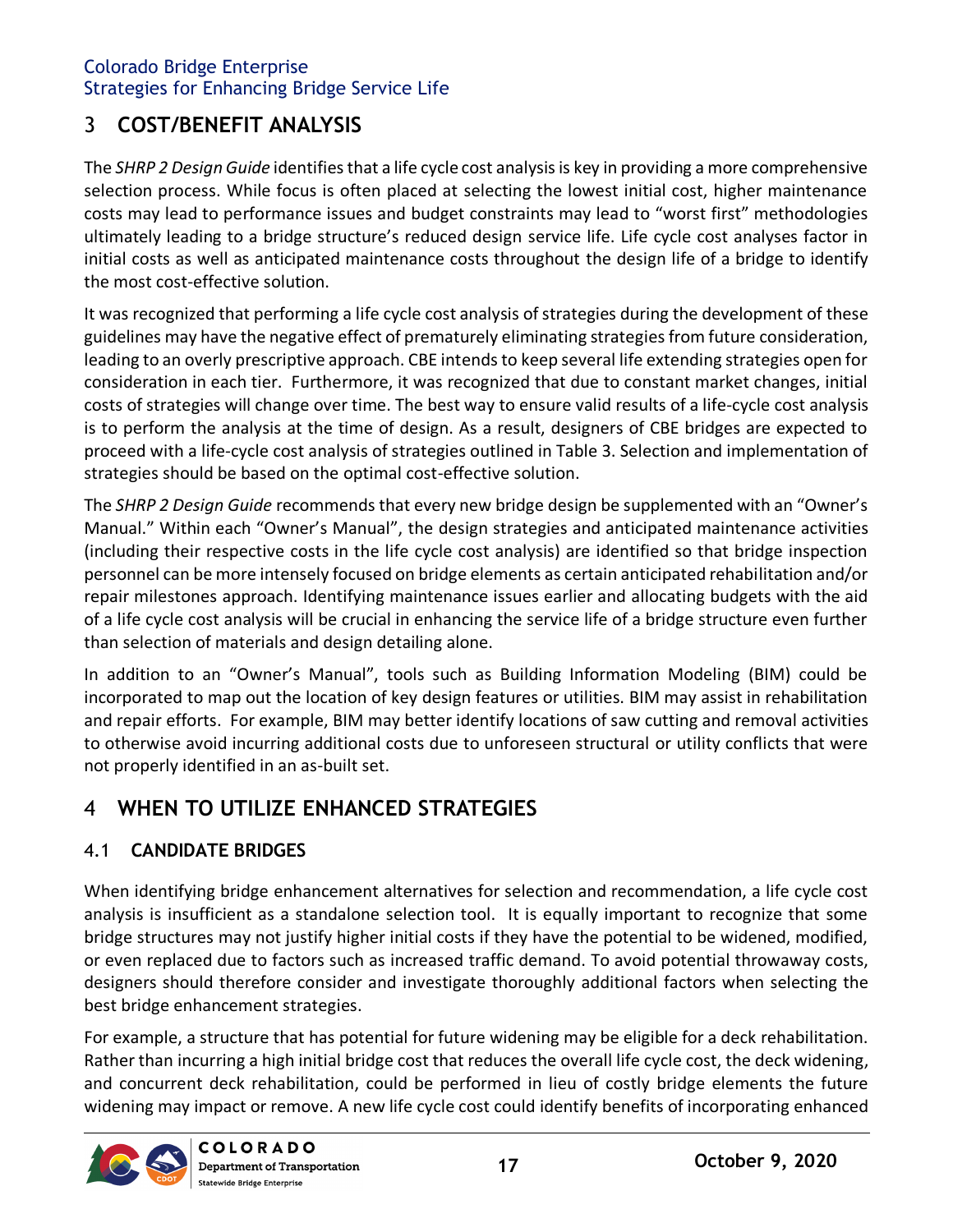# <span id="page-17-0"></span>3 **COST/BENEFIT ANALYSIS**

The *SHRP 2 Design Guide* identifies that a life cycle cost analysis is key in providing a more comprehensive selection process. While focus is often placed at selecting the lowest initial cost, higher maintenance costs may lead to performance issues and budget constraints may lead to "worst first" methodologies ultimately leading to a bridge structure's reduced design service life. Life cycle cost analyses factor in initial costs as well as anticipated maintenance costs throughout the design life of a bridge to identify the most cost-effective solution.

It was recognized that performing a life cycle cost analysis of strategies during the development of these guidelines may have the negative effect of prematurely eliminating strategies from future consideration, leading to an overly prescriptive approach. CBE intends to keep several life extending strategies open for consideration in each tier. Furthermore, it was recognized that due to constant market changes, initial costs of strategies will change over time. The best way to ensure valid results of a life-cycle cost analysis is to perform the analysis at the time of design. As a result, designers of CBE bridges are expected to proceed with a life-cycle cost analysis of strategies outlined in Table 3. Selection and implementation of strategies should be based on the optimal cost-effective solution.

The *SHRP 2 Design Guide* recommends that every new bridge design be supplemented with an "Owner's Manual." Within each "Owner's Manual", the design strategies and anticipated maintenance activities (including their respective costs in the life cycle cost analysis) are identified so that bridge inspection personnel can be more intensely focused on bridge elements as certain anticipated rehabilitation and/or repair milestones approach. Identifying maintenance issues earlier and allocating budgets with the aid of a life cycle cost analysis will be crucial in enhancing the service life of a bridge structure even further than selection of materials and design detailing alone.

In addition to an "Owner's Manual", tools such as Building Information Modeling (BIM) could be incorporated to map out the location of key design features or utilities. BIM may assist in rehabilitation and repair efforts. For example, BIM may better identify locations of saw cutting and removal activities to otherwise avoid incurring additional costs due to unforeseen structural or utility conflicts that were not properly identified in an as-built set.

# <span id="page-17-1"></span>4 **WHEN TO UTILIZE ENHANCED STRATEGIES**

# <span id="page-17-2"></span>4.1 **CANDIDATE BRIDGES**

When identifying bridge enhancement alternatives for selection and recommendation, a life cycle cost analysis is insufficient as a standalone selection tool. It is equally important to recognize that some bridge structures may not justify higher initial costs if they have the potential to be widened, modified, or even replaced due to factors such as increased traffic demand. To avoid potential throwaway costs, designers should therefore consider and investigate thoroughly additional factors when selecting the best bridge enhancement strategies.

For example, a structure that has potential for future widening may be eligible for a deck rehabilitation. Rather than incurring a high initial bridge cost that reduces the overall life cycle cost, the deck widening, and concurrent deck rehabilitation, could be performed in lieu of costly bridge elements the future widening may impact or remove. A new life cycle cost could identify benefits of incorporating enhanced

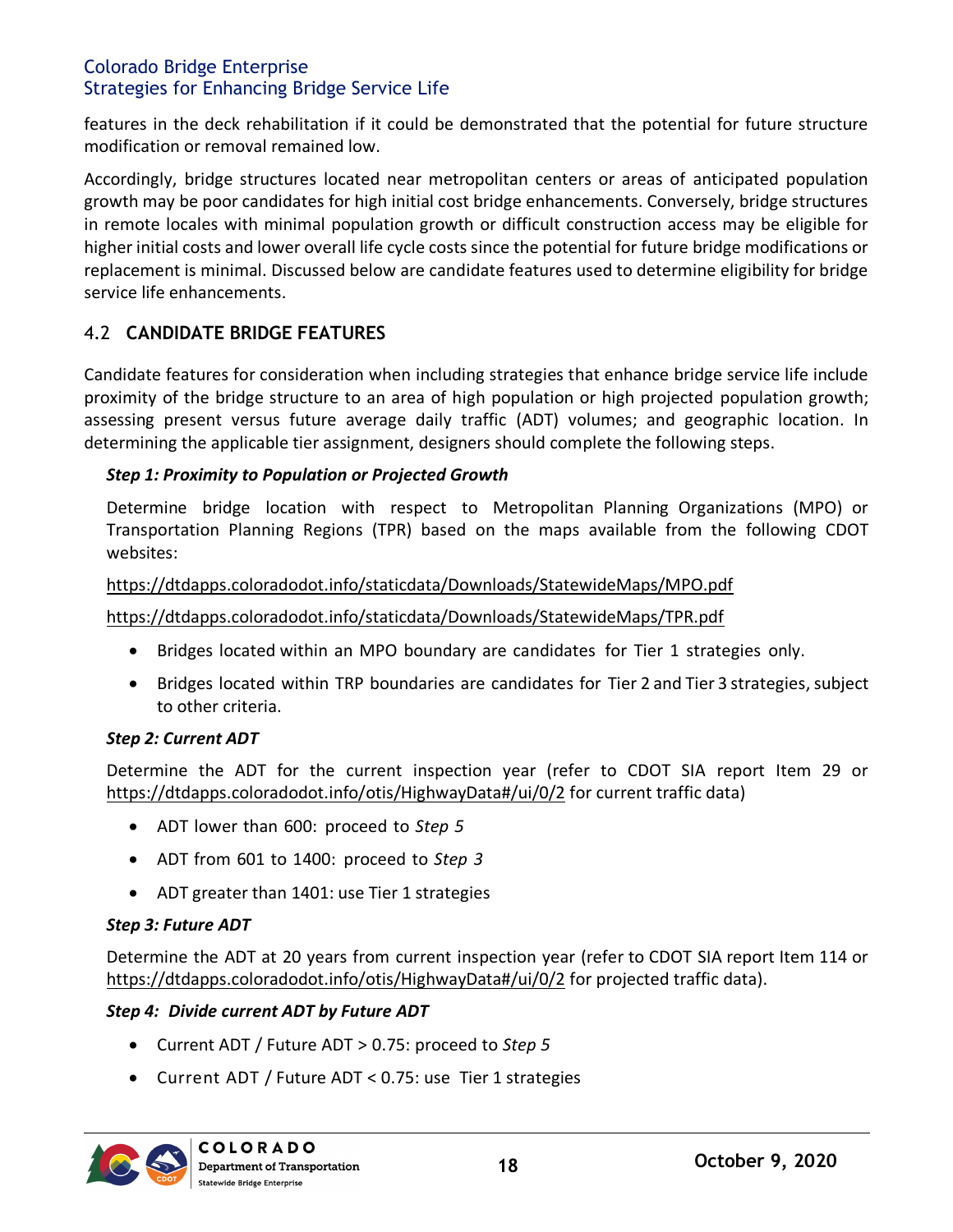features in the deck rehabilitation if it could be demonstrated that the potential for future structure modification or removal remained low.

Accordingly, bridge structures located near metropolitan centers or areas of anticipated population growth may be poor candidates for high initial cost bridge enhancements. Conversely, bridge structures in remote locales with minimal population growth or difficult construction access may be eligible for higher initial costs and lower overall life cycle costs since the potential for future bridge modifications or replacement is minimal. Discussed below are candidate features used to determine eligibility for bridge service life enhancements.

## <span id="page-18-0"></span>4.2 **CANDIDATE BRIDGE FEATURES**

Candidate features for consideration when including strategies that enhance bridge service life include proximity of the bridge structure to an area of high population or high projected population growth; assessing present versus future average daily traffic (ADT) volumes; and geographic location. In determining the applicable tier assignment, designers should complete the following steps.

#### *Step 1: Proximity to Population or Projected Growth*

Determine bridge location with respect to Metropolitan Planning Organizations (MPO) or Transportation Planning Regions (TPR) based on the maps available from the following CDOT websites:

#### <https://dtdapps.coloradodot.info/staticdata/Downloads/StatewideMaps/MPO.pdf>

<https://dtdapps.coloradodot.info/staticdata/Downloads/StatewideMaps/TPR.pdf>

- Bridges located within an MPO boundary are candidates for Tier 1 strategies only.
- Bridges located within TRP boundaries are candidates for Tier 2 and Tier 3 strategies, subject to other criteria.

#### *Step 2: Current ADT*

Determine the ADT for the current inspection year (refer to CDOT SIA report Item 29 or <https://dtdapps.coloradodot.info/otis/HighwayData#/ui/0/2> for current traffic data)

- ADT lower than 600: proceed to *Step 5*
- ADT from 601 to 1400: proceed to *Step 3*
- ADT greater than 1401: use Tier 1 strategies

#### *Step 3: Future ADT*

Determine the ADT at 20 years from current inspection year (refer to CDOT SIA report Item 114 or <https://dtdapps.coloradodot.info/otis/HighwayData#/ui/0/2> for projected traffic data).

#### *Step 4: Divide current ADT by Future ADT*

- Current ADT / Future ADT > 0.75: proceed to *Step 5*
- Current ADT / Future ADT < 0.75: use Tier 1 strategies

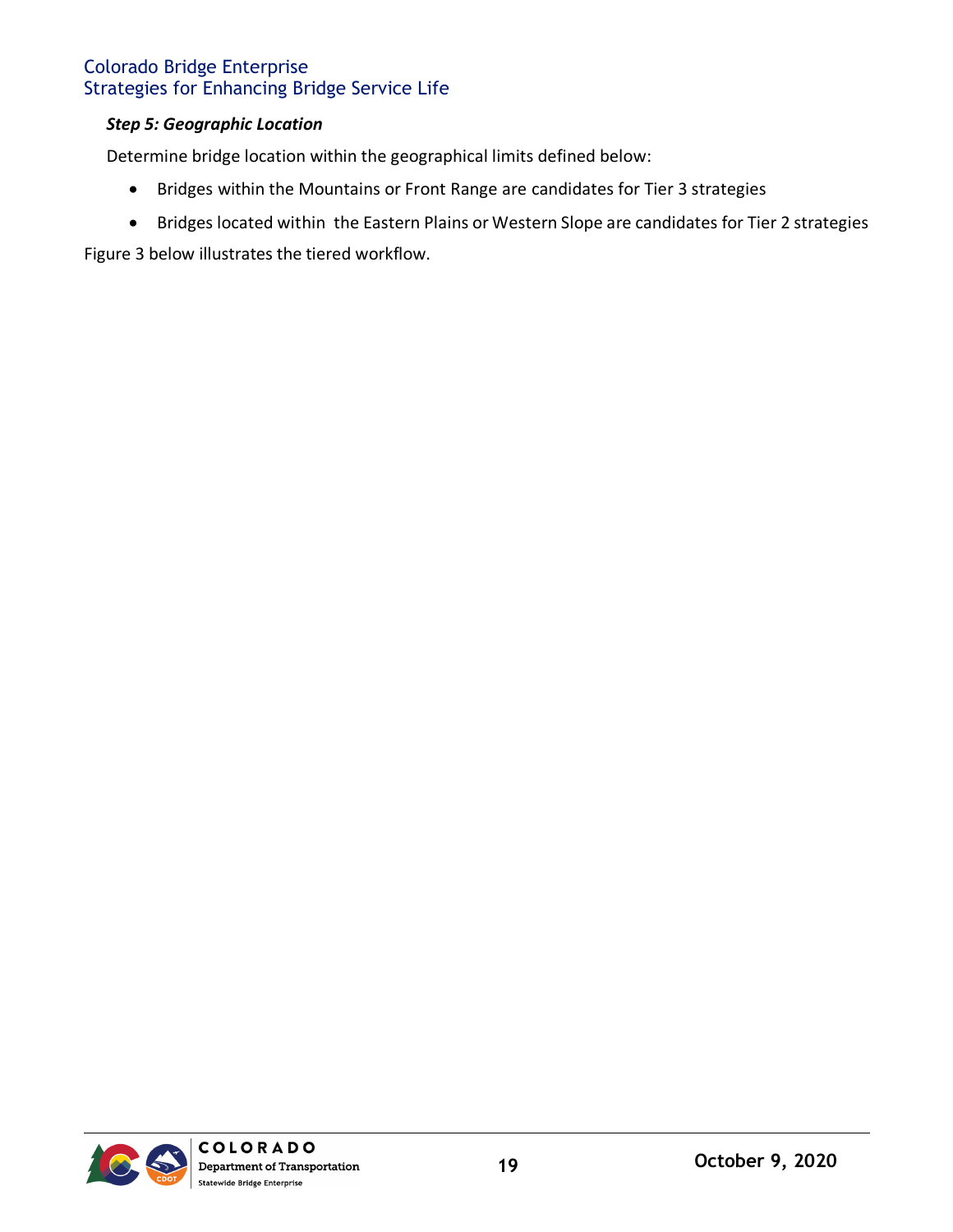#### *Step 5: Geographic Location*

Determine bridge location within the geographical limits defined below:

- Bridges within the Mountains or Front Range are candidates for Tier 3 strategies
- Bridges located within the Eastern Plains or Western Slope are candidates for Tier 2 strategies

Figure 3 below illustrates the tiered workflow.

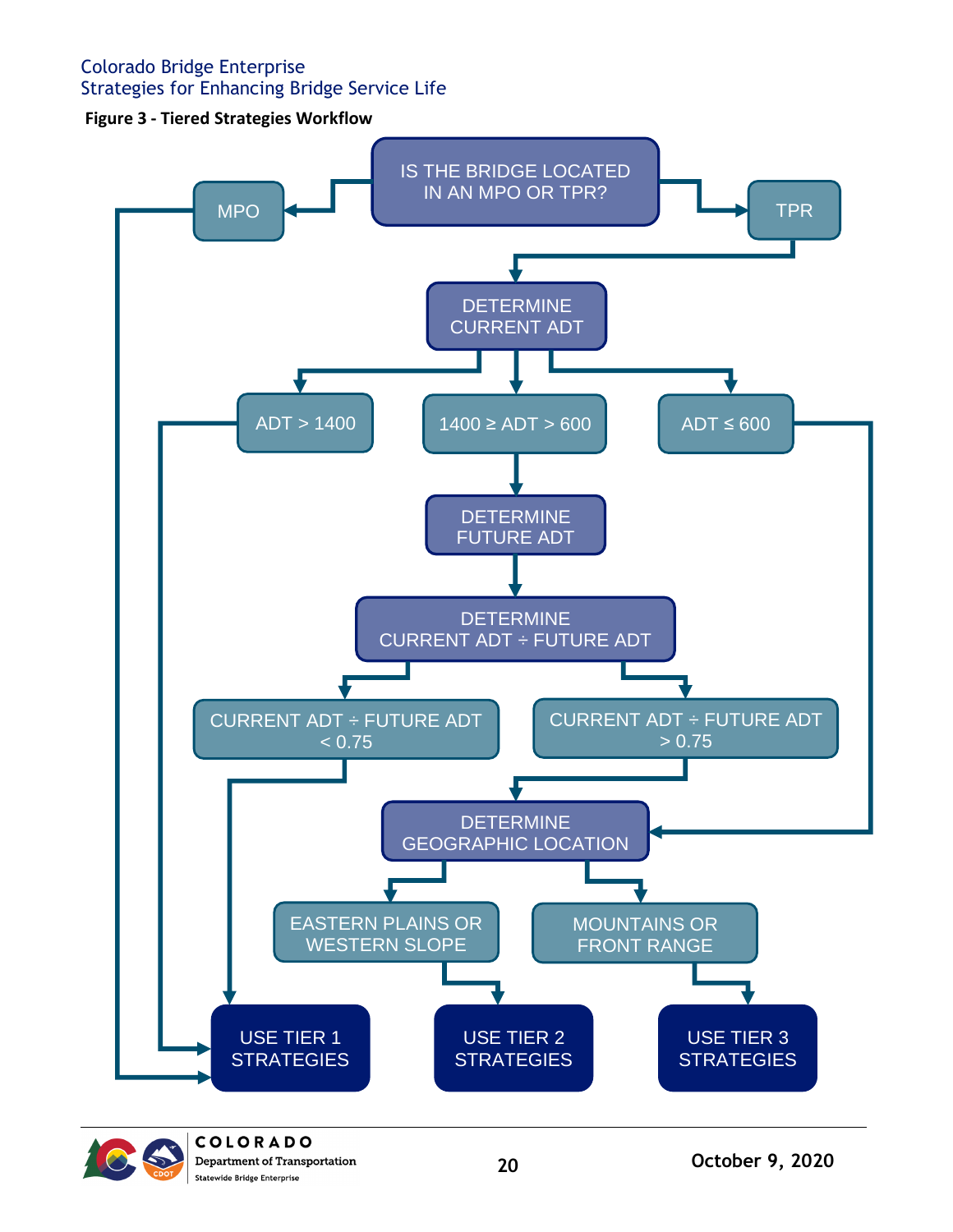# <span id="page-20-0"></span>Colorado Bridge Enterprise

Strategies for Enhancing Bridge Service Life

**Figure 3 - Tiered Strategies Workflow**